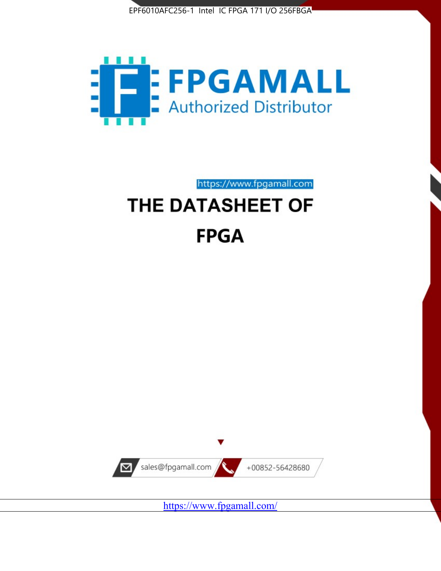



https://www.fpgamall.com THE DATASHEET OF

# **FPGA**



<https://www.fpgamall.com/>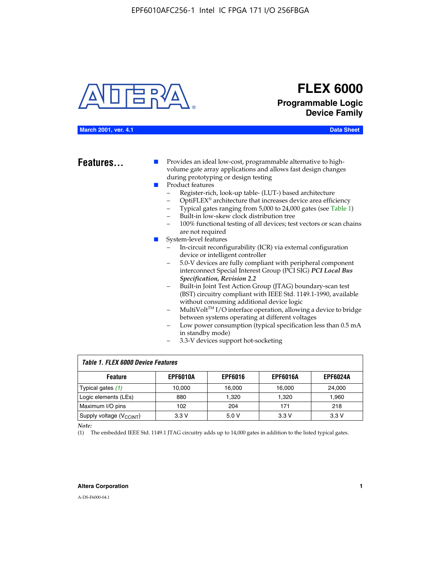

## **FLEX 6000 Programmable Logic Device Family**

| March 2001, ver. 4.14 |
|-----------------------|
|-----------------------|

**Data Sheet** 

**Features...** ■ Provides an ideal low-cost, programmable alternative to highvolume gate array applications and allows fast design changes during prototyping or design testing

- Product features
	- Register-rich, look-up table- (LUT-) based architecture
		- OptiFLEX® architecture that increases device area efficiency
	- Typical gates ranging from 5,000 to 24,000 gates (see Table 1)
	- Built-in low-skew clock distribution tree
	- 100% functional testing of all devices; test vectors or scan chains are not required
- System-level features
	- In-circuit reconfigurability (ICR) via external configuration device or intelligent controller
	- 5.0-V devices are fully compliant with peripheral component interconnect Special Interest Group (PCI SIG) *PCI Local Bus Specification, Revision 2.2*
	- Built-in Joint Test Action Group (JTAG) boundary-scan test (BST) circuitry compliant with IEEE Std. 1149.1-1990, available without consuming additional device logic
	- MultiVolt™ I/O interface operation, allowing a device to bridge between systems operating at different voltages
	- Low power consumption (typical specification less than 0.5 mA in standby mode)
	- 3.3-V devices support hot-socketing

| <b>Table 1. FLEX 6000 Device Features</b> |                 |                |                 |                 |  |  |  |
|-------------------------------------------|-----------------|----------------|-----------------|-----------------|--|--|--|
| <b>Feature</b>                            | <b>EPF6010A</b> | <b>EPF6016</b> | <b>EPF6016A</b> | <b>EPF6024A</b> |  |  |  |
| Typical gates (1)                         | 10,000          | 16,000         | 16,000          | 24,000          |  |  |  |
| Logic elements (LEs)                      | 880             | 1,320          | 1,320           | 1,960           |  |  |  |
| Maximum I/O pins                          | 102             | 204            | 171             | 218             |  |  |  |
| Supply voltage $(V_{C C INT})$            | 3.3V            | 5.0V           | 3.3 V           | 3.3 V           |  |  |  |

*Note:*

(1) The embedded IEEE Std. 1149.1 JTAG circuitry adds up to 14,000 gates in addition to the listed typical gates.

#### **Altera Corporation 1**

A-DS-F6000-04.1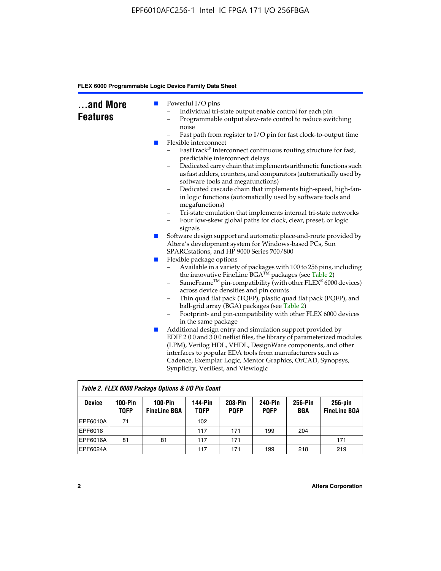| and More<br><b>Features</b><br>m. | Powerful I/O pins<br>Individual tri-state output enable control for each pin<br>Programmable output slew-rate control to reduce switching<br>-<br>noise<br>Fast path from register to I/O pin for fast clock-to-output time<br>Flexible interconnect<br>FastTrack® Interconnect continuous routing structure for fast,<br>predictable interconnect delays<br>Dedicated carry chain that implements arithmetic functions such<br>as fast adders, counters, and comparators (automatically used by<br>software tools and megafunctions)<br>Dedicated cascade chain that implements high-speed, high-fan-<br>$\qquad \qquad -$<br>in logic functions (automatically used by software tools and<br>megafunctions)<br>Tri-state emulation that implements internal tri-state networks<br>$\qquad \qquad -$<br>Four low-skew global paths for clock, clear, preset, or logic<br>$\qquad \qquad -$<br>signals |
|-----------------------------------|--------------------------------------------------------------------------------------------------------------------------------------------------------------------------------------------------------------------------------------------------------------------------------------------------------------------------------------------------------------------------------------------------------------------------------------------------------------------------------------------------------------------------------------------------------------------------------------------------------------------------------------------------------------------------------------------------------------------------------------------------------------------------------------------------------------------------------------------------------------------------------------------------------|
| ш                                 | Software design support and automatic place-and-route provided by<br>Altera's development system for Windows-based PCs, Sun<br>SPARCstations, and HP 9000 Series 700/800                                                                                                                                                                                                                                                                                                                                                                                                                                                                                                                                                                                                                                                                                                                               |
| ш<br>L.                           | Flexible package options<br>Available in a variety of packages with 100 to 256 pins, including<br>$\qquad \qquad -$<br>the innovative FineLine BGA <sup>TM</sup> packages (see Table 2)<br>SameFrame <sup>™</sup> pin-compatibility (with other FLEX <sup>®</sup> 6000 devices)<br>$\qquad \qquad -$<br>across device densities and pin counts<br>Thin quad flat pack (TQFP), plastic quad flat pack (PQFP), and<br>-<br>ball-grid array (BGA) packages (see Table 2)<br>Footprint- and pin-compatibility with other FLEX 6000 devices<br>in the same package<br>Additional design entry and simulation support provided by<br>EDIF 200 and 300 netlist files, the library of parameterized modules<br>(LPM), Verilog HDL, VHDL, DesignWare components, and other                                                                                                                                      |
|                                   | interfaces to popular EDA tools from manufacturers such as<br>Cadence, Exemplar Logic, Mentor Graphics, OrCAD, Synopsys,<br>Synplicity, VeriBest, and Viewlogic                                                                                                                                                                                                                                                                                                                                                                                                                                                                                                                                                                                                                                                                                                                                        |

|               | Table 2. FLEX 6000 Package Options & I/O Pin Count |                                  |                        |                               |                               |                |                                   |
|---------------|----------------------------------------------------|----------------------------------|------------------------|-------------------------------|-------------------------------|----------------|-----------------------------------|
| <b>Device</b> | $100-Pin$<br><b>TQFP</b>                           | $100-Pin$<br><b>FineLine BGA</b> | 144-Pin<br><b>TOFP</b> | <b>208-Pin</b><br><b>POFP</b> | <b>240-Pin</b><br><b>POFP</b> | 256-Pin<br>BGA | $256$ -pin<br><b>FineLine BGA</b> |
| EPF6010A      | 71                                                 |                                  | 102                    |                               |                               |                |                                   |
| EPF6016       |                                                    |                                  | 117                    | 171                           | 199                           | 204            |                                   |
| IEPF6016A     | 81                                                 | 81                               | 117                    | 171                           |                               |                | 171                               |
| EPF6024A      |                                                    |                                  | 117                    | 171                           | 199                           | 218            | 219                               |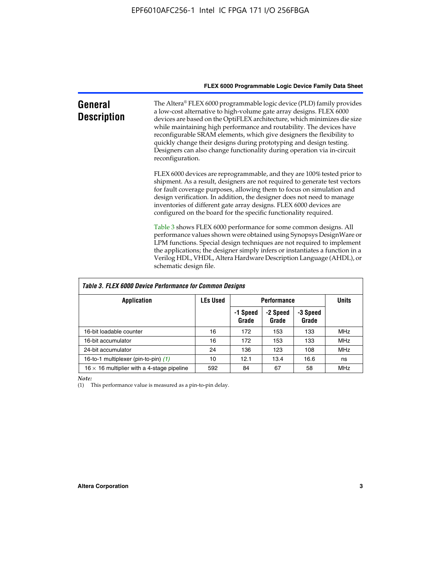| General<br><b>Description</b> | The Altera® FLEX 6000 programmable logic device (PLD) family provides<br>a low-cost alternative to high-volume gate array designs. FLEX 6000<br>devices are based on the OptiFLEX architecture, which minimizes die size<br>while maintaining high performance and routability. The devices have<br>reconfigurable SRAM elements, which give designers the flexibility to<br>quickly change their designs during prototyping and design testing.<br>Designers can also change functionality during operation via in-circuit<br>reconfiguration. |
|-------------------------------|-------------------------------------------------------------------------------------------------------------------------------------------------------------------------------------------------------------------------------------------------------------------------------------------------------------------------------------------------------------------------------------------------------------------------------------------------------------------------------------------------------------------------------------------------|
|                               | FLEX 6000 devices are reprogrammable, and they are 100% tested prior to<br>shipment. As a result, designers are not required to generate test vectors<br>for fault coverage purposes, allowing them to focus on simulation and<br>design verification. In addition, the designer does not need to manage<br>inventories of different gate array designs. FLEX 6000 devices are<br>configured on the board for the specific functionality required.                                                                                              |
|                               | Table 3 shows FLEX 6000 performance for some common designs. All<br>performance values shown were obtained using Synopsys DesignWare or<br>LPM functions. Special design techniques are not required to implement<br>the applications; the designer simply infers or instantiates a function in a<br>Verilog HDL, VHDL, Altera Hardware Description Language (AHDL), or<br>schematic design file.                                                                                                                                               |

| Table 3. FLEX 6000 Device Performance for Common Designs |                 |                    |                   |                   |              |  |
|----------------------------------------------------------|-----------------|--------------------|-------------------|-------------------|--------------|--|
| <b>Application</b>                                       | <b>LEs Used</b> | <b>Performance</b> |                   |                   | <b>Units</b> |  |
|                                                          |                 | -1 Speed<br>Grade  | -2 Speed<br>Grade | -3 Speed<br>Grade |              |  |
| 16-bit loadable counter                                  | 16              | 172                | 153               | 133               | <b>MHz</b>   |  |
| 16-bit accumulator                                       | 16              | 172                | 153               | 133               | <b>MHz</b>   |  |
| 24-bit accumulator                                       | 24              | 136                | 123               | 108               | <b>MHz</b>   |  |
| 16-to-1 multiplexer (pin-to-pin) (1)                     | 10              | 12.1               | 13.4              | 16.6              | ns           |  |
| $16 \times 16$ multiplier with a 4-stage pipeline        | 592             | 84                 | 67                | 58                | <b>MHz</b>   |  |

*Note:*

(1) This performance value is measured as a pin-to-pin delay.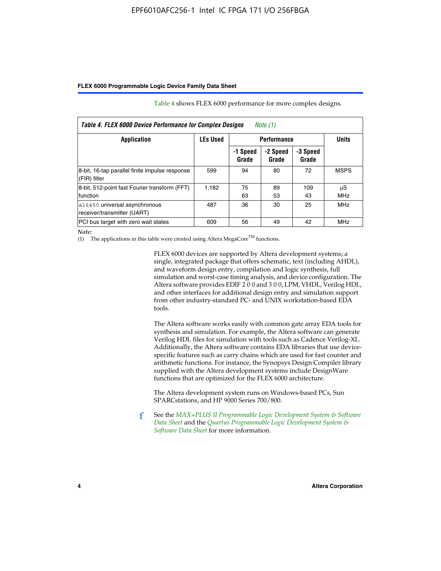| Table 4. FLEX 6000 Device Performance for Complex Designs<br>Note $(1)$ |       |                   |                   |                   |                  |  |
|-------------------------------------------------------------------------|-------|-------------------|-------------------|-------------------|------------------|--|
| <b>LEs Used</b><br><b>Performance</b><br>Application                    |       |                   |                   | <b>Units</b>      |                  |  |
|                                                                         |       | -1 Speed<br>Grade | -2 Speed<br>Grade | -3 Speed<br>Grade |                  |  |
| 8-bit, 16-tap parallel finite impulse response<br>(FIR) filter          | 599   | 94                | 80                | 72                | <b>MSPS</b>      |  |
| 8-bit, 512-point fast Fourier transform (FFT)<br>function               | 1.182 | 75<br>63          | 89<br>53          | 109<br>43         | μS<br><b>MHz</b> |  |
| a16450 universal asynchronous<br>receiver/transmitter (UART)            | 487   | 36                | 30                | 25                | <b>MHz</b>       |  |
| PCI bus target with zero wait states                                    | 609   | 56                | 49                | 42                | MHz              |  |

Table 4 shows FLEX 6000 performance for more complex designs.

*Note:*

(1) The applications in this table were created using Altera MegaCore<sup>TM</sup> functions.

FLEX 6000 devices are supported by Altera development systems; a single, integrated package that offers schematic, text (including AHDL), and waveform design entry, compilation and logic synthesis, full simulation and worst-case timing analysis, and device configuration. The Altera software provides EDIF 2 0 0 and 3 0 0, LPM, VHDL, Verilog HDL, and other interfaces for additional design entry and simulation support from other industry-standard PC- and UNIX workstation-based EDA tools.

The Altera software works easily with common gate array EDA tools for synthesis and simulation. For example, the Altera software can generate Verilog HDL files for simulation with tools such as Cadence Verilog-XL. Additionally, the Altera software contains EDA libraries that use devicespecific features such as carry chains which are used for fast counter and arithmetic functions. For instance, the Synopsys Design Compiler library supplied with the Altera development systems include DesignWare functions that are optimized for the FLEX 6000 architecture.

The Altera development system runs on Windows-based PCs, Sun SPARCstations, and HP 9000 Series 700/800.

f See the *[MAX+PLUS II Programmable Logic Development System & Software](http://www.altera.com/literature/ds/dsmii.pdf)  [Data Sheet](http://www.altera.com/literature/ds/dsmii.pdf)* and the *[Quartus Programmable Logic Development System &](http://www.altera.com/literature/ds/quartus.pdf)  [Software Data Sheet](http://www.altera.com/literature/ds/quartus.pdf)* for more information.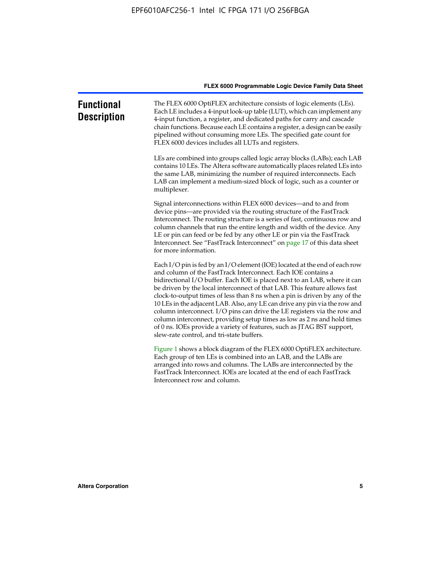| <b>Functional</b><br><b>Description</b> | The FLEX 6000 OptiFLEX architecture consists of logic elements (LEs).<br>Each LE includes a 4-input look-up table (LUT), which can implement any<br>4-input function, a register, and dedicated paths for carry and cascade<br>chain functions. Because each LE contains a register, a design can be easily<br>pipelined without consuming more LEs. The specified gate count for<br>FLEX 6000 devices includes all LUTs and registers.                                                                                                                                                                                                                                                                                                          |
|-----------------------------------------|--------------------------------------------------------------------------------------------------------------------------------------------------------------------------------------------------------------------------------------------------------------------------------------------------------------------------------------------------------------------------------------------------------------------------------------------------------------------------------------------------------------------------------------------------------------------------------------------------------------------------------------------------------------------------------------------------------------------------------------------------|
|                                         | LEs are combined into groups called logic array blocks (LABs); each LAB<br>contains 10 LEs. The Altera software automatically places related LEs into<br>the same LAB, minimizing the number of required interconnects. Each<br>LAB can implement a medium-sized block of logic, such as a counter or<br>multiplexer.                                                                                                                                                                                                                                                                                                                                                                                                                            |
|                                         | Signal interconnections within FLEX 6000 devices—and to and from<br>device pins—are provided via the routing structure of the FastTrack<br>Interconnect. The routing structure is a series of fast, continuous row and<br>column channels that run the entire length and width of the device. Any<br>LE or pin can feed or be fed by any other LE or pin via the FastTrack<br>Interconnect. See "FastTrack Interconnect" on page 17 of this data sheet<br>for more information.                                                                                                                                                                                                                                                                  |
|                                         | Each I/O pin is fed by an I/O element (IOE) located at the end of each row<br>and column of the FastTrack Interconnect. Each IOE contains a<br>bidirectional I/O buffer. Each IOE is placed next to an LAB, where it can<br>be driven by the local interconnect of that LAB. This feature allows fast<br>clock-to-output times of less than 8 ns when a pin is driven by any of the<br>10 LEs in the adjacent LAB. Also, any LE can drive any pin via the row and<br>column interconnect. I/O pins can drive the LE registers via the row and<br>column interconnect, providing setup times as low as 2 ns and hold times<br>of 0 ns. IOEs provide a variety of features, such as JTAG BST support,<br>slew-rate control, and tri-state buffers. |
|                                         | Figure 1 shows a block diagram of the FLEX 6000 OptiFLEX architecture.<br>Each group of ten LEs is combined into an LAB, and the LABs are<br>arranged into rows and columns. The LABs are interconnected by the<br>FastTrack Interconnect. IOEs are located at the end of each FastTrack<br>Interconnect row and column.                                                                                                                                                                                                                                                                                                                                                                                                                         |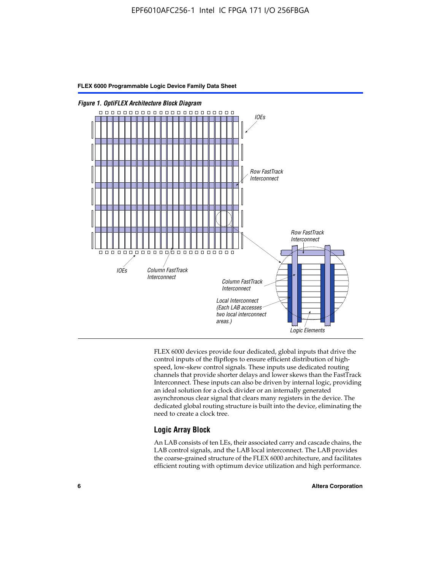

FLEX 6000 devices provide four dedicated, global inputs that drive the control inputs of the flipflops to ensure efficient distribution of highspeed, low-skew control signals. These inputs use dedicated routing channels that provide shorter delays and lower skews than the FastTrack Interconnect. These inputs can also be driven by internal logic, providing an ideal solution for a clock divider or an internally generated asynchronous clear signal that clears many registers in the device. The dedicated global routing structure is built into the device, eliminating the need to create a clock tree.

#### **Logic Array Block**

An LAB consists of ten LEs, their associated carry and cascade chains, the LAB control signals, and the LAB local interconnect. The LAB provides the coarse-grained structure of the FLEX 6000 architecture, and facilitates efficient routing with optimum device utilization and high performance.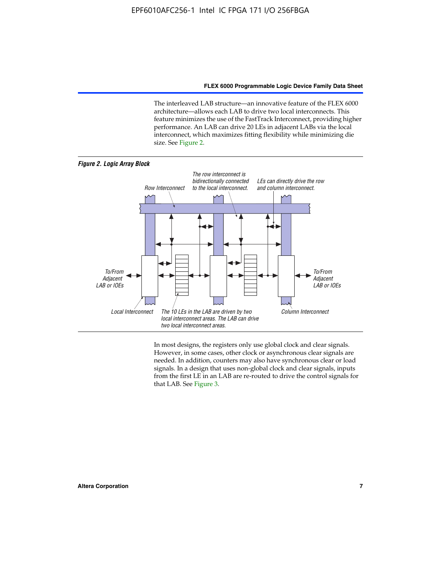The interleaved LAB structure—an innovative feature of the FLEX 6000 architecture—allows each LAB to drive two local interconnects. This feature minimizes the use of the FastTrack Interconnect, providing higher performance. An LAB can drive 20 LEs in adjacent LABs via the local interconnect, which maximizes fitting flexibility while minimizing die size. See Figure 2.



In most designs, the registers only use global clock and clear signals. However, in some cases, other clock or asynchronous clear signals are needed. In addition, counters may also have synchronous clear or load signals. In a design that uses non-global clock and clear signals, inputs from the first LE in an LAB are re-routed to drive the control signals for that LAB. See Figure 3.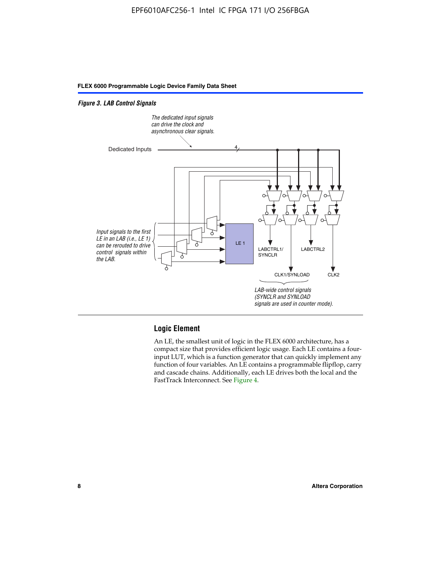#### *Figure 3. LAB Control Signals*



#### **Logic Element**

An LE, the smallest unit of logic in the FLEX 6000 architecture, has a compact size that provides efficient logic usage. Each LE contains a fourinput LUT, which is a function generator that can quickly implement any function of four variables. An LE contains a programmable flipflop, carry and cascade chains. Additionally, each LE drives both the local and the FastTrack Interconnect. See Figure 4.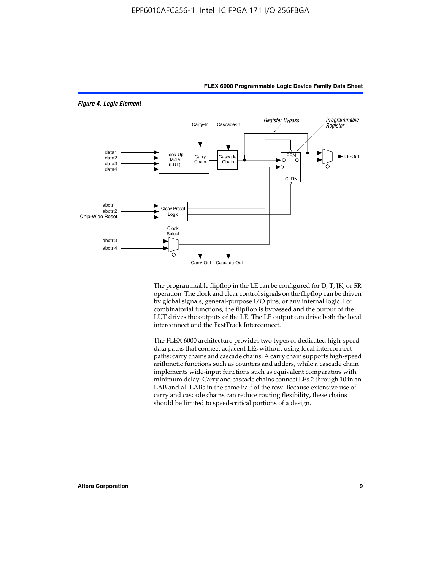

The programmable flipflop in the LE can be configured for D, T, JK, or SR operation. The clock and clear control signals on the flipflop can be driven by global signals, general-purpose I/O pins, or any internal logic. For combinatorial functions, the flipflop is bypassed and the output of the LUT drives the outputs of the LE. The LE output can drive both the local interconnect and the FastTrack Interconnect.

The FLEX 6000 architecture provides two types of dedicated high-speed data paths that connect adjacent LEs without using local interconnect paths: carry chains and cascade chains. A carry chain supports high-speed arithmetic functions such as counters and adders, while a cascade chain implements wide-input functions such as equivalent comparators with minimum delay. Carry and cascade chains connect LEs 2 through 10 in an LAB and all LABs in the same half of the row. Because extensive use of carry and cascade chains can reduce routing flexibility, these chains should be limited to speed-critical portions of a design.

#### *Figure 4. Logic Element*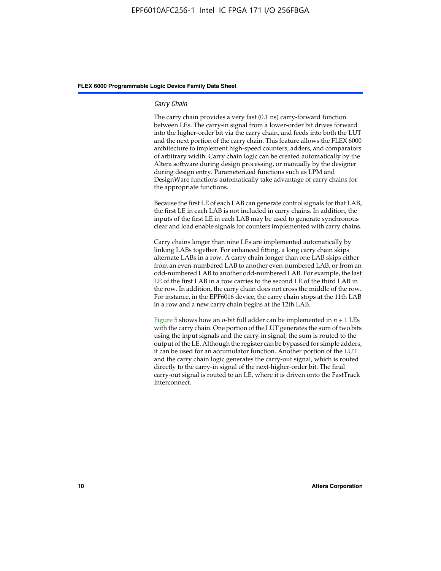#### *Carry Chain*

The carry chain provides a very fast (0.1 ns) carry-forward function between LEs. The carry-in signal from a lower-order bit drives forward into the higher-order bit via the carry chain, and feeds into both the LUT and the next portion of the carry chain. This feature allows the FLEX 6000 architecture to implement high-speed counters, adders, and comparators of arbitrary width. Carry chain logic can be created automatically by the Altera software during design processing, or manually by the designer during design entry. Parameterized functions such as LPM and DesignWare functions automatically take advantage of carry chains for the appropriate functions.

Because the first LE of each LAB can generate control signals for that LAB, the first LE in each LAB is not included in carry chains. In addition, the inputs of the first LE in each LAB may be used to generate synchronous clear and load enable signals for counters implemented with carry chains.

Carry chains longer than nine LEs are implemented automatically by linking LABs together. For enhanced fitting, a long carry chain skips alternate LABs in a row. A carry chain longer than one LAB skips either from an even-numbered LAB to another even-numbered LAB, or from an odd-numbered LAB to another odd-numbered LAB. For example, the last LE of the first LAB in a row carries to the second LE of the third LAB in the row. In addition, the carry chain does not cross the middle of the row. For instance, in the EPF6016 device, the carry chain stops at the 11th LAB in a row and a new carry chain begins at the 12th LAB.

Figure 5 shows how an *n*-bit full adder can be implemented in  $n + 1$  LEs with the carry chain. One portion of the LUT generates the sum of two bits using the input signals and the carry-in signal; the sum is routed to the output of the LE. Although the register can be bypassed for simple adders, it can be used for an accumulator function. Another portion of the LUT and the carry chain logic generates the carry-out signal, which is routed directly to the carry-in signal of the next-higher-order bit. The final carry-out signal is routed to an LE, where it is driven onto the FastTrack Interconnect.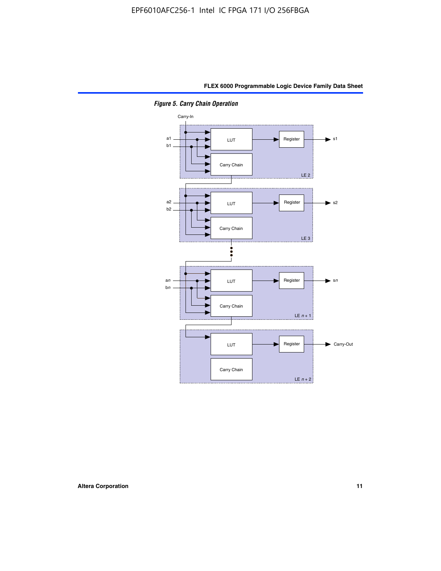

*Figure 5. Carry Chain Operation*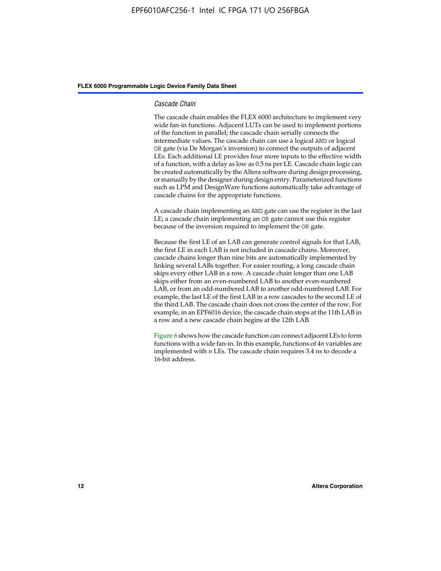#### *Cascade Chain*

The cascade chain enables the FLEX 6000 architecture to implement very wide fan-in functions. Adjacent LUTs can be used to implement portions of the function in parallel; the cascade chain serially connects the intermediate values. The cascade chain can use a logical AND or logical OR gate (via De Morgan's inversion) to connect the outputs of adjacent LEs. Each additional LE provides four more inputs to the effective width of a function, with a delay as low as 0.5 ns per LE. Cascade chain logic can be created automatically by the Altera software during design processing, or manually by the designer during design entry. Parameterized functions such as LPM and DesignWare functions automatically take advantage of cascade chains for the appropriate functions.

A cascade chain implementing an AND gate can use the register in the last LE; a cascade chain implementing an OR gate cannot use this register because of the inversion required to implement the OR gate.

Because the first LE of an LAB can generate control signals for that LAB, the first LE in each LAB is not included in cascade chains. Moreover, cascade chains longer than nine bits are automatically implemented by linking several LABs together. For easier routing, a long cascade chain skips every other LAB in a row. A cascade chain longer than one LAB skips either from an even-numbered LAB to another even-numbered LAB, or from an odd-numbered LAB to another odd-numbered LAB. For example, the last LE of the first LAB in a row cascades to the second LE of the third LAB. The cascade chain does not cross the center of the row. For example, in an EPF6016 device, the cascade chain stops at the 11th LAB in a row and a new cascade chain begins at the 12th LAB.

Figure 6 shows how the cascade function can connect adjacent LEs to form functions with a wide fan-in. In this example, functions of 4*n* variables are implemented with *n* LEs. The cascade chain requires 3.4 ns to decode a 16-bit address.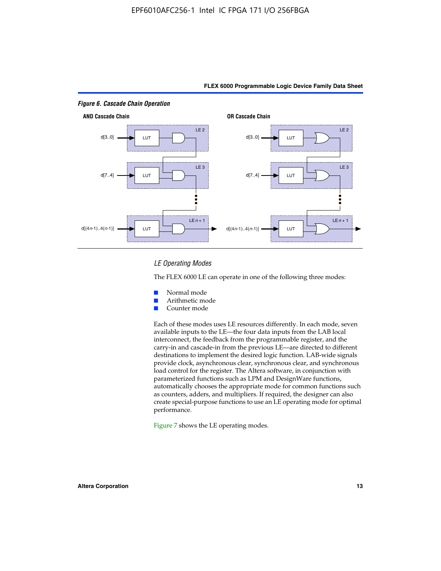

#### *LE Operating Modes*

The FLEX 6000 LE can operate in one of the following three modes:

- Normal mode
- Arithmetic mode
- Counter mode

Each of these modes uses LE resources differently. In each mode, seven available inputs to the LE—the four data inputs from the LAB local interconnect, the feedback from the programmable register, and the carry-in and cascade-in from the previous LE—are directed to different destinations to implement the desired logic function. LAB-wide signals provide clock, asynchronous clear, synchronous clear, and synchronous load control for the register. The Altera software, in conjunction with parameterized functions such as LPM and DesignWare functions, automatically chooses the appropriate mode for common functions such as counters, adders, and multipliers. If required, the designer can also create special-purpose functions to use an LE operating mode for optimal performance.

Figure 7 shows the LE operating modes.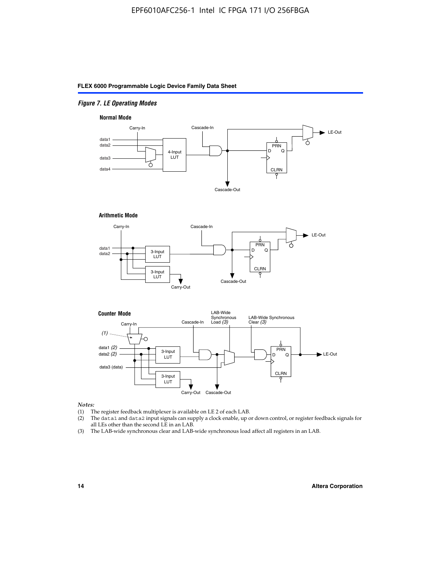#### *Figure 7. LE Operating Modes*

#### **Normal Mode**



#### **Arithmetic Mode**





#### *Notes:*

- (1) The register feedback multiplexer is available on LE 2 of each LAB.
- (2) The data1 and data2 input signals can supply a clock enable, up or down control, or register feedback signals for all LEs other than the second LE in an LAB.
- (3) The LAB-wide synchronous clear and LAB-wide synchronous load affect all registers in an LAB.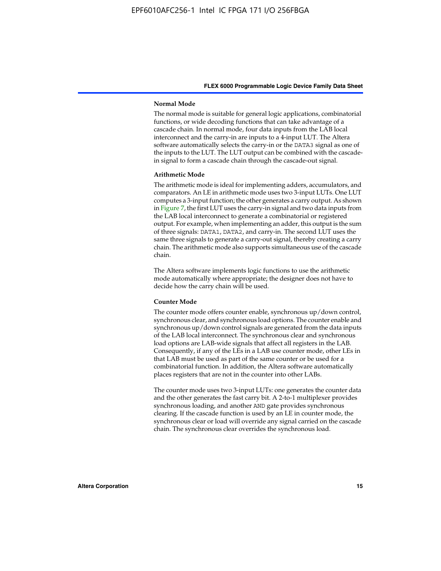#### **Normal Mode**

The normal mode is suitable for general logic applications, combinatorial functions, or wide decoding functions that can take advantage of a cascade chain. In normal mode, four data inputs from the LAB local interconnect and the carry-in are inputs to a 4-input LUT. The Altera software automatically selects the carry-in or the DATA3 signal as one of the inputs to the LUT. The LUT output can be combined with the cascadein signal to form a cascade chain through the cascade-out signal.

#### **Arithmetic Mode**

The arithmetic mode is ideal for implementing adders, accumulators, and comparators. An LE in arithmetic mode uses two 3-input LUTs. One LUT computes a 3-input function; the other generates a carry output. As shown in Figure 7, the first LUT uses the carry-in signal and two data inputs from the LAB local interconnect to generate a combinatorial or registered output. For example, when implementing an adder, this output is the sum of three signals: DATA1, DATA2, and carry-in. The second LUT uses the same three signals to generate a carry-out signal, thereby creating a carry chain. The arithmetic mode also supports simultaneous use of the cascade chain.

The Altera software implements logic functions to use the arithmetic mode automatically where appropriate; the designer does not have to decide how the carry chain will be used.

#### **Counter Mode**

The counter mode offers counter enable, synchronous up/down control, synchronous clear, and synchronous load options. The counter enable and synchronous up/down control signals are generated from the data inputs of the LAB local interconnect. The synchronous clear and synchronous load options are LAB-wide signals that affect all registers in the LAB. Consequently, if any of the LEs in a LAB use counter mode, other LEs in that LAB must be used as part of the same counter or be used for a combinatorial function. In addition, the Altera software automatically places registers that are not in the counter into other LABs.

The counter mode uses two 3-input LUTs: one generates the counter data and the other generates the fast carry bit. A 2-to-1 multiplexer provides synchronous loading, and another AND gate provides synchronous clearing. If the cascade function is used by an LE in counter mode, the synchronous clear or load will override any signal carried on the cascade chain. The synchronous clear overrides the synchronous load.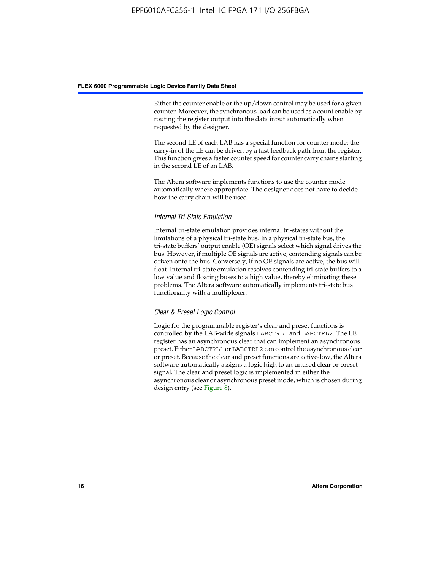Either the counter enable or the up/down control may be used for a given counter. Moreover, the synchronous load can be used as a count enable by routing the register output into the data input automatically when requested by the designer.

The second LE of each LAB has a special function for counter mode; the carry-in of the LE can be driven by a fast feedback path from the register. This function gives a faster counter speed for counter carry chains starting in the second LE of an LAB.

The Altera software implements functions to use the counter mode automatically where appropriate. The designer does not have to decide how the carry chain will be used.

#### *Internal Tri-State Emulation*

Internal tri-state emulation provides internal tri-states without the limitations of a physical tri-state bus. In a physical tri-state bus, the tri-state buffers' output enable (OE) signals select which signal drives the bus. However, if multiple OE signals are active, contending signals can be driven onto the bus. Conversely, if no OE signals are active, the bus will float. Internal tri-state emulation resolves contending tri-state buffers to a low value and floating buses to a high value, thereby eliminating these problems. The Altera software automatically implements tri-state bus functionality with a multiplexer.

#### *Clear & Preset Logic Control*

Logic for the programmable register's clear and preset functions is controlled by the LAB-wide signals LABCTRL1 and LABCTRL2. The LE register has an asynchronous clear that can implement an asynchronous preset. Either LABCTRL1 or LABCTRL2 can control the asynchronous clear or preset. Because the clear and preset functions are active-low, the Altera software automatically assigns a logic high to an unused clear or preset signal. The clear and preset logic is implemented in either the asynchronous clear or asynchronous preset mode, which is chosen during design entry (see Figure 8).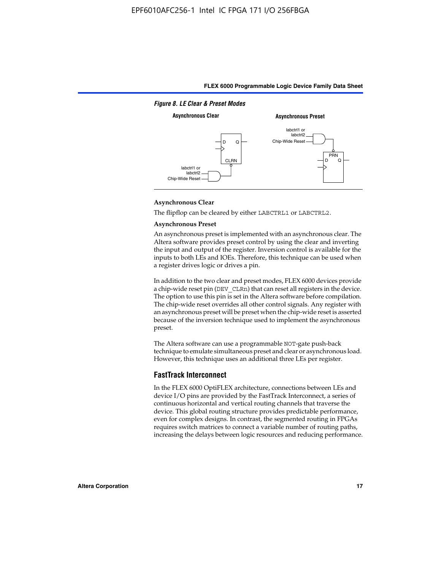

#### **Asynchronous Clear**

The flipflop can be cleared by either LABCTRL1 or LABCTRL2.

#### **Asynchronous Preset**

An asynchronous preset is implemented with an asynchronous clear. The Altera software provides preset control by using the clear and inverting the input and output of the register. Inversion control is available for the inputs to both LEs and IOEs. Therefore, this technique can be used when a register drives logic or drives a pin.

In addition to the two clear and preset modes, FLEX 6000 devices provide a chip-wide reset pin (DEV\_CLRn) that can reset all registers in the device. The option to use this pin is set in the Altera software before compilation. The chip-wide reset overrides all other control signals. Any register with an asynchronous preset will be preset when the chip-wide reset is asserted because of the inversion technique used to implement the asynchronous preset.

The Altera software can use a programmable NOT-gate push-back technique to emulate simultaneous preset and clear or asynchronous load. However, this technique uses an additional three LEs per register.

#### **FastTrack Interconnect**

In the FLEX 6000 OptiFLEX architecture, connections between LEs and device I/O pins are provided by the FastTrack Interconnect, a series of continuous horizontal and vertical routing channels that traverse the device. This global routing structure provides predictable performance, even for complex designs. In contrast, the segmented routing in FPGAs requires switch matrices to connect a variable number of routing paths, increasing the delays between logic resources and reducing performance.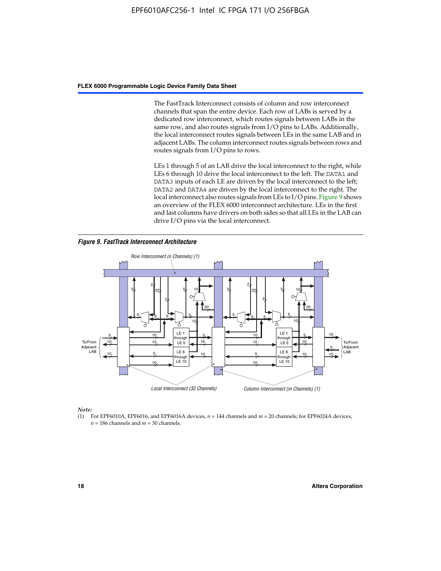The FastTrack Interconnect consists of column and row interconnect channels that span the entire device. Each row of LABs is served by a dedicated row interconnect, which routes signals between LABs in the same row, and also routes signals from I/O pins to LABs. Additionally, the local interconnect routes signals between LEs in the same LAB and in adjacent LABs. The column interconnect routes signals between rows and routes signals from I/O pins to rows.

LEs 1 through 5 of an LAB drive the local interconnect to the right, while LEs 6 through 10 drive the local interconnect to the left. The DATA1 and DATA3 inputs of each LE are driven by the local interconnect to the left; DATA2 and DATA4 are driven by the local interconnect to the right. The local interconnect also routes signals from LEs to I/O pins. Figure 9 shows an overview of the FLEX 6000 interconnect architecture. LEs in the first and last columns have drivers on both sides so that all LEs in the LAB can drive I/O pins via the local interconnect.

*Figure 9. FastTrack Interconnect Architecture*



*Note:*

(1) For EPF6010A, EPF6016, and EPF6016A devices, *n* = 144 channels and *m* = 20 channels; for EPF6024A devices,  $n = 186$  channels and  $m = 30$  channels.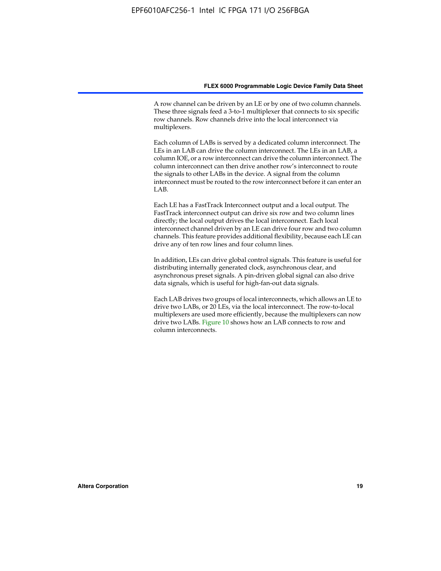A row channel can be driven by an LE or by one of two column channels. These three signals feed a 3-to-1 multiplexer that connects to six specific row channels. Row channels drive into the local interconnect via multiplexers.

Each column of LABs is served by a dedicated column interconnect. The LEs in an LAB can drive the column interconnect. The LEs in an LAB, a column IOE, or a row interconnect can drive the column interconnect. The column interconnect can then drive another row's interconnect to route the signals to other LABs in the device. A signal from the column interconnect must be routed to the row interconnect before it can enter an  $LAB$ 

Each LE has a FastTrack Interconnect output and a local output. The FastTrack interconnect output can drive six row and two column lines directly; the local output drives the local interconnect. Each local interconnect channel driven by an LE can drive four row and two column channels. This feature provides additional flexibility, because each LE can drive any of ten row lines and four column lines.

In addition, LEs can drive global control signals. This feature is useful for distributing internally generated clock, asynchronous clear, and asynchronous preset signals. A pin-driven global signal can also drive data signals, which is useful for high-fan-out data signals.

Each LAB drives two groups of local interconnects, which allows an LE to drive two LABs, or 20 LEs, via the local interconnect. The row-to-local multiplexers are used more efficiently, because the multiplexers can now drive two LABs. Figure 10 shows how an LAB connects to row and column interconnects.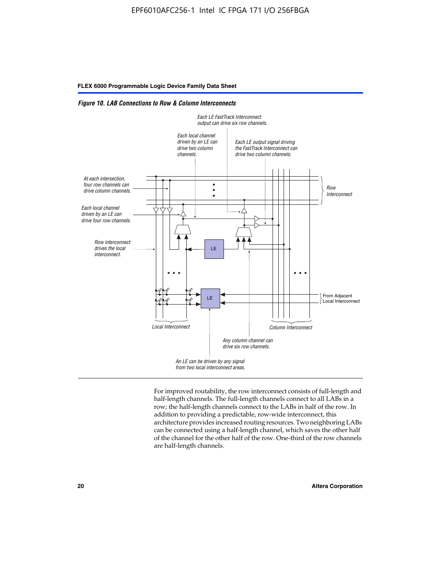*Figure 10. LAB Connections to Row & Column Interconnects*



For improved routability, the row interconnect consists of full-length and half-length channels. The full-length channels connect to all LABs in a row; the half-length channels connect to the LABs in half of the row. In addition to providing a predictable, row-wide interconnect, this architecture provides increased routing resources. Two neighboring LABs can be connected using a half-length channel, which saves the other half of the channel for the other half of the row. One-third of the row channels are half-length channels.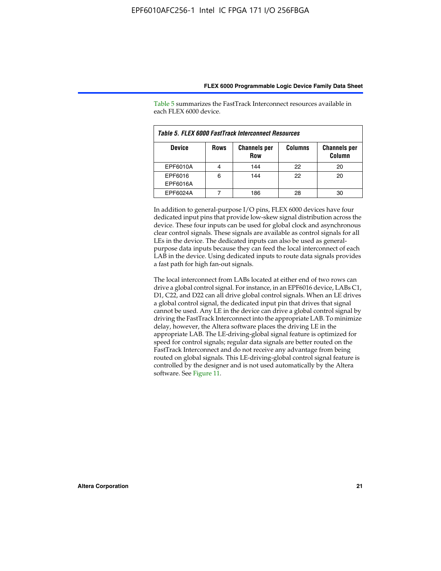| Table 5. FLEX 6000 FastTrack Interconnect Resources |             |                                   |                |                               |  |
|-----------------------------------------------------|-------------|-----------------------------------|----------------|-------------------------------|--|
| <b>Device</b>                                       | <b>Rows</b> | <b>Channels per</b><br><b>Row</b> | <b>Columns</b> | <b>Channels per</b><br>Column |  |
| EPF6010A                                            |             | 144                               | 22             | 20                            |  |
| EPF6016<br>EPF6016A                                 | 6           | 144                               | 22             | 20                            |  |
| EPF6024A                                            |             | 186                               |                | 30                            |  |

Table 5 summarizes the FastTrack Interconnect resources available in each FLEX 6000 device.

In addition to general-purpose I/O pins, FLEX 6000 devices have four dedicated input pins that provide low-skew signal distribution across the device. These four inputs can be used for global clock and asynchronous clear control signals. These signals are available as control signals for all LEs in the device. The dedicated inputs can also be used as generalpurpose data inputs because they can feed the local interconnect of each LAB in the device. Using dedicated inputs to route data signals provides a fast path for high fan-out signals.

The local interconnect from LABs located at either end of two rows can drive a global control signal. For instance, in an EPF6016 device, LABs C1, D1, C22, and D22 can all drive global control signals. When an LE drives a global control signal, the dedicated input pin that drives that signal cannot be used. Any LE in the device can drive a global control signal by driving the FastTrack Interconnect into the appropriate LAB. To minimize delay, however, the Altera software places the driving LE in the appropriate LAB. The LE-driving-global signal feature is optimized for speed for control signals; regular data signals are better routed on the FastTrack Interconnect and do not receive any advantage from being routed on global signals. This LE-driving-global control signal feature is controlled by the designer and is not used automatically by the Altera software. See Figure 11.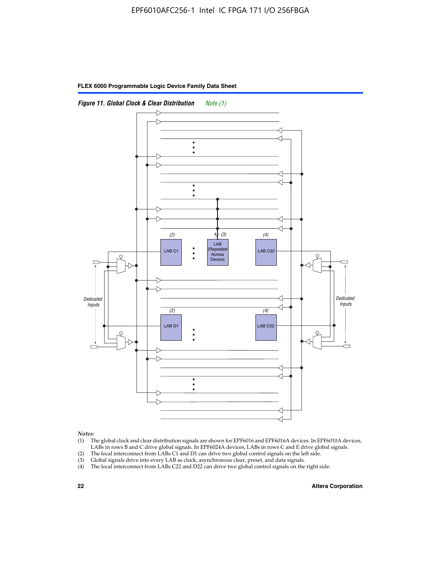



*Notes:*

- (1) The global clock and clear distribution signals are shown for EPF6016 and EPF6016A devices. In EPF6010A devices, LABs in rows B and C drive global signals. In EPF6024A devices, LABs in rows C and E drive global signals.
- (2) The local interconnect from LABs C1 and D1 can drive two global control signals on the left side.
- (3) Global signals drive into every LAB as clock, asynchronous clear, preset, and data signals.
- (4) The local interconnect from LABs C22 and D22 can drive two global control signals on the right side.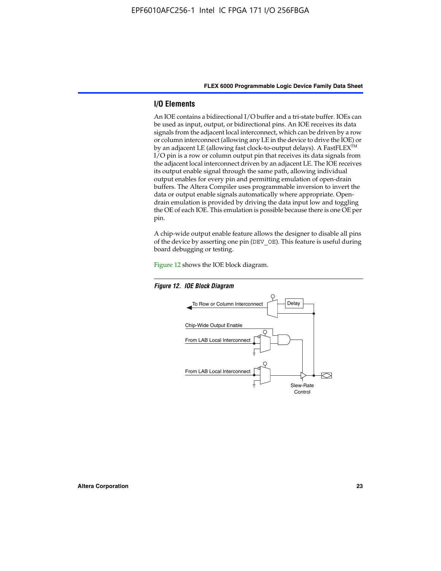#### **I/O Elements**

An IOE contains a bidirectional I/O buffer and a tri-state buffer. IOEs can be used as input, output, or bidirectional pins. An IOE receives its data signals from the adjacent local interconnect, which can be driven by a row or column interconnect (allowing any LE in the device to drive the IOE) or by an adjacent LE (allowing fast clock-to-output delays). A FastFLEX<sup>™</sup> I/O pin is a row or column output pin that receives its data signals from the adjacent local interconnect driven by an adjacent LE. The IOE receives its output enable signal through the same path, allowing individual output enables for every pin and permitting emulation of open-drain buffers. The Altera Compiler uses programmable inversion to invert the data or output enable signals automatically where appropriate. Opendrain emulation is provided by driving the data input low and toggling the OE of each IOE. This emulation is possible because there is one OE per pin.

A chip-wide output enable feature allows the designer to disable all pins of the device by asserting one pin (DEV\_OE). This feature is useful during board debugging or testing.

Figure 12 shows the IOE block diagram.



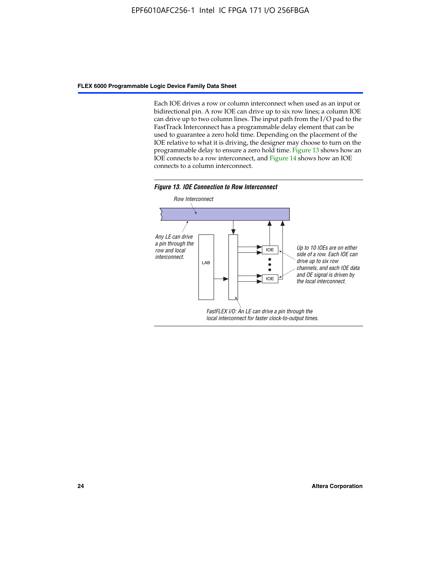Each IOE drives a row or column interconnect when used as an input or bidirectional pin. A row IOE can drive up to six row lines; a column IOE can drive up to two column lines. The input path from the I/O pad to the FastTrack Interconnect has a programmable delay element that can be used to guarantee a zero hold time. Depending on the placement of the IOE relative to what it is driving, the designer may choose to turn on the programmable delay to ensure a zero hold time. Figure 13 shows how an IOE connects to a row interconnect, and Figure 14 shows how an IOE connects to a column interconnect.



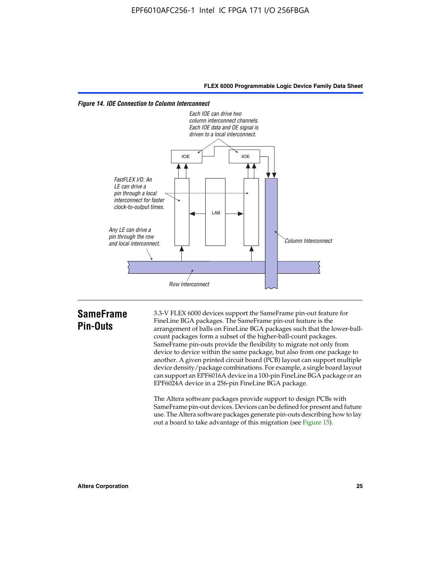

*Figure 14. IOE Connection to Column Interconnect*

### **SameFrame Pin-Outs**

3.3-V FLEX 6000 devices support the SameFrame pin-out feature for FineLine BGA packages. The SameFrame pin-out feature is the arrangement of balls on FineLine BGA packages such that the lower-ballcount packages form a subset of the higher-ball-count packages. SameFrame pin-outs provide the flexibility to migrate not only from device to device within the same package, but also from one package to another. A given printed circuit board (PCB) layout can support multiple device density/package combinations. For example, a single board layout can support an EPF6016A device in a 100-pin FineLine BGA package or an EPF6024A device in a 256-pin FineLine BGA package.

The Altera software packages provide support to design PCBs with SameFrame pin-out devices. Devices can be defined for present and future use. The Altera software packages generate pin-outs describing how to lay out a board to take advantage of this migration (see Figure 15).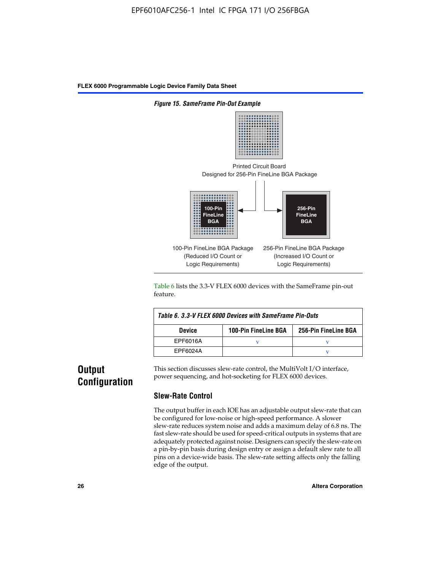

Table 6 lists the 3.3-V FLEX 6000 devices with the SameFrame pin-out feature.

| Table 6. 3.3-V FLEX 6000 Devices with SameFrame Pin-Outs |                             |                      |  |  |  |  |
|----------------------------------------------------------|-----------------------------|----------------------|--|--|--|--|
| <b>Device</b>                                            | <b>100-Pin FineLine BGA</b> | 256-Pin FineLine BGA |  |  |  |  |
| EPF6016A                                                 |                             |                      |  |  |  |  |
| EPF6024A                                                 |                             |                      |  |  |  |  |

## **Output Configuration**

This section discusses slew-rate control, the MultiVolt I/O interface, power sequencing, and hot-socketing for FLEX 6000 devices.

#### **Slew-Rate Control**

The output buffer in each IOE has an adjustable output slew-rate that can be configured for low-noise or high-speed performance. A slower slew-rate reduces system noise and adds a maximum delay of 6.8 ns. The fast slew-rate should be used for speed-critical outputs in systems that are adequately protected against noise. Designers can specify the slew-rate on a pin-by-pin basis during design entry or assign a default slew rate to all pins on a device-wide basis. The slew-rate setting affects only the falling edge of the output.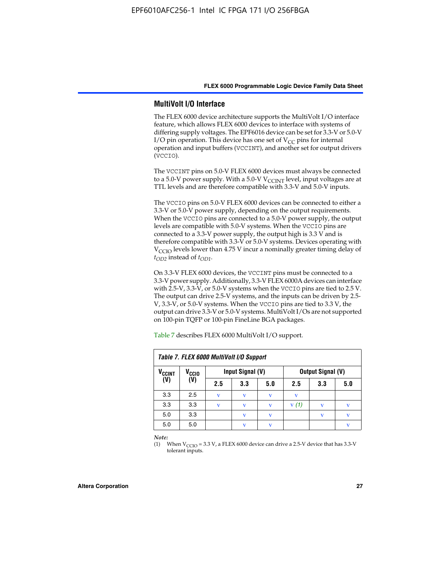#### **MultiVolt I/O Interface**

The FLEX 6000 device architecture supports the MultiVolt I/O interface feature, which allows FLEX 6000 devices to interface with systems of differing supply voltages. The EPF6016 device can be set for 3.3-V or 5.0-V I/O pin operation. This device has one set of  $V_{CC}$  pins for internal operation and input buffers (VCCINT), and another set for output drivers (VCCIO).

The VCCINT pins on 5.0-V FLEX 6000 devices must always be connected to a 5.0-V power supply. With a 5.0-V  $V_{\text{CCINT}}$  level, input voltages are at TTL levels and are therefore compatible with 3.3-V and 5.0-V inputs.

The VCCIO pins on 5.0-V FLEX 6000 devices can be connected to either a 3.3-V or 5.0-V power supply, depending on the output requirements. When the VCCIO pins are connected to a 5.0-V power supply, the output levels are compatible with 5.0-V systems. When the VCCIO pins are connected to a 3.3-V power supply, the output high is 3.3 V and is therefore compatible with 3.3-V or 5.0-V systems. Devices operating with V<sub>CCIO</sub> levels lower than 4.75 V incur a nominally greater timing delay of *tOD2* instead of *tOD1*.

On 3.3-V FLEX 6000 devices, the VCCINT pins must be connected to a 3.3-V power supply. Additionally, 3.3-V FLEX 6000A devices can interface with 2.5-V, 3.3-V, or 5.0-V systems when the VCCIO pins are tied to 2.5 V. The output can drive 2.5-V systems, and the inputs can be driven by 2.5- V, 3.3-V, or 5.0-V systems. When the VCCIO pins are tied to 3.3 V, the output can drive 3.3-V or 5.0-V systems. MultiVolt I/Os are not supported on 100-pin TQFP or 100-pin FineLine BGA packages.

| Table 7. FLEX 6000 MultiVolt I/O Support |                   |     |                  |     |      |                          |     |
|------------------------------------------|-------------------|-----|------------------|-----|------|--------------------------|-----|
| <b>V<sub>CCINT</sub></b>                 | V <sub>CCIO</sub> |     | Input Signal (V) |     |      | <b>Output Signal (V)</b> |     |
| (V)                                      | (V)               | 2.5 | 3.3              | 5.0 | 2.5  | 3.3                      | 5.0 |
| 3.3                                      | 2.5               | v   | V                | V   | v    |                          |     |
| 3.3                                      | 3.3               | v   | v                | v   | V(1) |                          | v   |
| 5.0                                      | 3.3               |     | $\mathbf v$      | V   |      | $\mathbf{v}$             | v   |
| 5.0                                      | 5.0               |     | $\mathbf v$      | v   |      |                          | v   |

Table 7 describes FLEX 6000 MultiVolt I/O support.

*Note:*

(1) When  $V_{\text{CCIO}} = 3.3 \text{ V}$ , a FLEX 6000 device can drive a 2.5-V device that has 3.3-V tolerant inputs.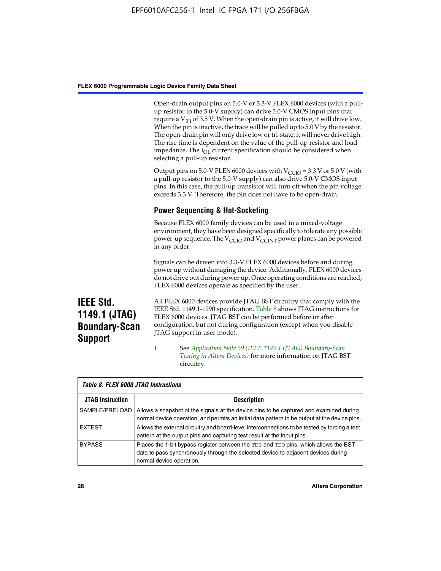Open-drain output pins on 5.0-V or 3.3-V FLEX 6000 devices (with a pullup resistor to the 5.0-V supply) can drive 5.0-V CMOS input pins that require a  $V_{IH}$  of 3.5 V. When the open-drain pin is active, it will drive low. When the pin is inactive, the trace will be pulled up to 5.0 V by the resistor. The open-drain pin will only drive low or tri-state; it will never drive high. The rise time is dependent on the value of the pull-up resistor and load impedance. The I<sub>OL</sub> current specification should be considered when selecting a pull-up resistor.

Output pins on 5.0-V FLEX 6000 devices with  $V_{\text{CCIO}} = 3.3$  V or 5.0 V (with a pull-up resistor to the 5.0-V supply) can also drive 5.0-V CMOS input pins. In this case, the pull-up transistor will turn off when the pin voltage exceeds 3.3 V. Therefore, the pin does not have to be open-drain.

#### **Power Sequencing & Hot-Socketing**

Because FLEX 6000 family devices can be used in a mixed-voltage environment, they have been designed specifically to tolerate any possible power-up sequence. The  $V_{\text{CCIO}}$  and  $V_{\text{CCINT}}$  power planes can be powered in any order.

Signals can be driven into 3.3-V FLEX 6000 devices before and during power up without damaging the device. Additionally, FLEX 6000 devices do not drive out during power up. Once operating conditions are reached, FLEX 6000 devices operate as specified by the user.

**IEEE Std. 1149.1 (JTAG) Boundary-Scan Support**

All FLEX 6000 devices provide JTAG BST circuitry that comply with the IEEE Std. 1149.1-1990 specification. Table 8 shows JTAG instructions for FLEX 6000 devices. JTAG BST can be performed before or after configuration, but not during configuration (except when you disable JTAG support in user mode).

1 See *[A](http://www.altera.com/literature/an/an039.pdf)pplication Note 39 (IEEE 1149.1 (JTAG) Boundary-Scan Testing in Altera Devices)* for more information on JTAG BST circuitry.

| Table 8. FLEX 6000 JTAG Instructions |                                                                                                                                                                                                      |  |  |  |  |  |
|--------------------------------------|------------------------------------------------------------------------------------------------------------------------------------------------------------------------------------------------------|--|--|--|--|--|
| <b>JTAG Instruction</b>              | <b>Description</b>                                                                                                                                                                                   |  |  |  |  |  |
| SAMPLE/PRELOAD                       | Allows a snapshot of the signals at the device pins to be captured and examined during<br>normal device operation, and permits an initial data pattern to be output at the device pins.              |  |  |  |  |  |
| <b>EXTEST</b>                        | Allows the external circuitry and board-level interconnections to be tested by forcing a test<br>pattern at the output pins and capturing test result at the input pins.                             |  |  |  |  |  |
| <b>BYPASS</b>                        | Places the 1-bit bypass register between the TDI and TDO pins, which allows the BST<br>data to pass synchronously through the selected device to adjacent devices during<br>normal device operation. |  |  |  |  |  |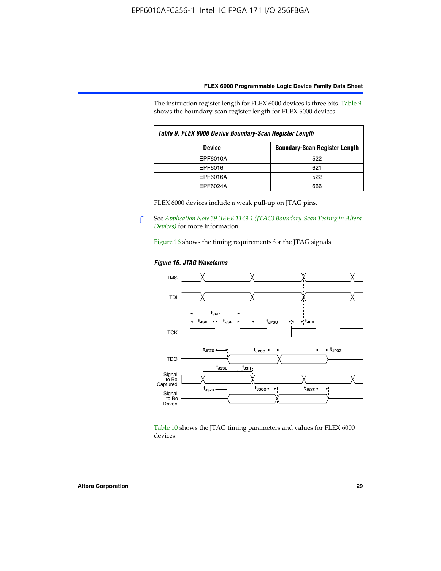The instruction register length for FLEX 6000 devices is three bits. Table 9 shows the boundary-scan register length for FLEX 6000 devices.

| Table 9. FLEX 6000 Device Boundary-Scan Register Length |                                      |  |  |  |
|---------------------------------------------------------|--------------------------------------|--|--|--|
| <b>Device</b>                                           | <b>Boundary-Scan Register Length</b> |  |  |  |
| EPF6010A                                                | 522                                  |  |  |  |
| EPF6016                                                 | 621                                  |  |  |  |
| EPF6016A                                                | 522                                  |  |  |  |
| EPF6024A                                                | 666                                  |  |  |  |

FLEX 6000 devices include a weak pull-up on JTAG pins.

f See *[Application Note 39 \(IEEE 1149.1 \(JTAG\) Boundary-Scan Testing in Altera](http://www.altera.com/literature/an/an039.pdf)  [Devices\)](http://www.altera.com/literature/an/an039.pdf)* for more information.

Figure 16 shows the timing requirements for the JTAG signals.

#### *Figure 16. JTAG Waveforms*



Table 10 shows the JTAG timing parameters and values for FLEX 6000 devices.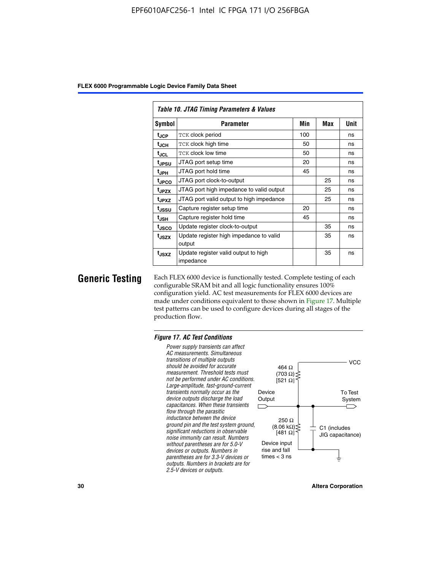|                   | Table 10. JTAG Timing Parameters & Values         |     |     |      |  |  |  |  |
|-------------------|---------------------------------------------------|-----|-----|------|--|--|--|--|
| Symbol            | <b>Parameter</b>                                  | Min | Max | Unit |  |  |  |  |
| t <sub>JCP</sub>  | TCK clock period                                  | 100 |     | ns   |  |  |  |  |
| t <sub>JCH</sub>  | TCK clock high time                               | 50  |     | ns   |  |  |  |  |
| tjcL              | <b>TCK clock low time</b>                         | 50  |     | ns   |  |  |  |  |
| t <sub>JPSU</sub> | JTAG port setup time                              | 20  |     | ns   |  |  |  |  |
| $t_{\rm JPH}$     | JTAG port hold time                               | 45  |     | ns   |  |  |  |  |
| <sup>t</sup> JPCO | JTAG port clock-to-output                         |     | 25  | ns   |  |  |  |  |
| t <sub>JPZX</sub> | JTAG port high impedance to valid output          |     | 25  | ns   |  |  |  |  |
| t <sub>JPXZ</sub> | JTAG port valid output to high impedance          |     | 25  | ns   |  |  |  |  |
| tussu             | Capture register setup time                       | 20  |     | ns   |  |  |  |  |
| $t_{\sf JSH}$     | Capture register hold time                        | 45  |     | ns   |  |  |  |  |
| tjsco             | Update register clock-to-output                   |     | 35  | ns   |  |  |  |  |
| t <sub>JSZX</sub> | Update register high impedance to valid<br>output |     | 35  | ns   |  |  |  |  |
| t <sub>JSXZ</sub> | Update register valid output to high<br>impedance |     | 35  | ns   |  |  |  |  |

**Generic Testing** Each FLEX 6000 device is functionally tested. Complete testing of each configurable SRAM bit and all logic functionality ensures 100% configuration yield. AC test measurements for FLEX 6000 devices are made under conditions equivalent to those shown in Figure 17. Multiple test patterns can be used to configure devices during all stages of the production flow.

#### *Figure 17. AC Test Conditions*

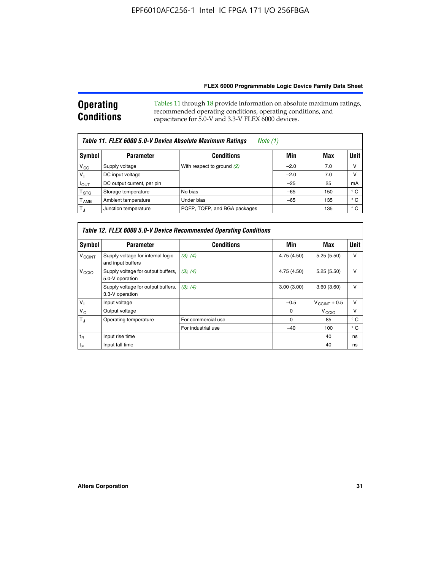#### **Operating Conditions** Tables 11 through 18 provide information on absolute maximum ratings, recommended operating conditions, operating conditions, and capacitance for 5.0-V and 3.3-V FLEX 6000 devices.

| Table 11. FLEX 6000 5.0-V Device Absolute Maximum Ratings<br>Note $(1)$ |                            |                              |        |     |              |  |
|-------------------------------------------------------------------------|----------------------------|------------------------------|--------|-----|--------------|--|
| Symbol                                                                  | <b>Parameter</b>           | <b>Conditions</b>            | Min    | Max | <b>Unit</b>  |  |
| $V_{CC}$                                                                | Supply voltage             | With respect to ground (2)   | $-2.0$ | 7.0 | v            |  |
| $V_1$                                                                   | DC input voltage           |                              | $-2.0$ | 7.0 | ν            |  |
| $I_{OUT}$                                                               | DC output current, per pin |                              | $-25$  | 25  | mA           |  |
| $\mathsf{T}_{\text{STG}}$                                               | Storage temperature        | No bias                      | $-65$  | 150 | ° C          |  |
| $T_{\sf AMB}$                                                           | Ambient temperature        | Under bias                   | $-65$  | 135 | $^{\circ}$ C |  |
| $T_J$                                                                   | Junction temperature       | PQFP, TQFP, and BGA packages |        | 135 | ° C          |  |

|                          | Table 12. FLEX 6000 5.0-V Device Recommended Operating Conditions |                    |             |                          |              |  |  |
|--------------------------|-------------------------------------------------------------------|--------------------|-------------|--------------------------|--------------|--|--|
| Symbol                   | <b>Parameter</b>                                                  | <b>Conditions</b>  | Min         | Max                      | Unit         |  |  |
| <b>V<sub>CCINT</sub></b> | Supply voltage for internal logic<br>and input buffers            | (3), (4)           | 4.75 (4.50) | 5.25(5.50)               | v            |  |  |
| V <sub>CCIO</sub>        | Supply voltage for output buffers,<br>5.0-V operation             | (3), (4)           | 4.75 (4.50) | 5.25(5.50)               | $\mathsf{V}$ |  |  |
|                          | Supply voltage for output buffers,<br>3.3-V operation             | (3), (4)           | 3.00(3.00)  | 3.60(3.60)               | $\vee$       |  |  |
| $V_1$                    | Input voltage                                                     |                    | $-0.5$      | $V_{\text{CCINT}} + 0.5$ | v            |  |  |
| $V_{\rm O}$              | Output voltage                                                    |                    | $\Omega$    | V <sub>CCIO</sub>        | $\vee$       |  |  |
| $T_{\rm d}$              | Operating temperature                                             | For commercial use | 0           | 85                       | $^{\circ}$ C |  |  |
|                          |                                                                   | For industrial use | $-40$       | 100                      | $^{\circ}$ C |  |  |
| $t_{R}$                  | Input rise time                                                   |                    |             | 40                       | ns           |  |  |
| tF                       | Input fall time                                                   |                    |             | 40                       | ns           |  |  |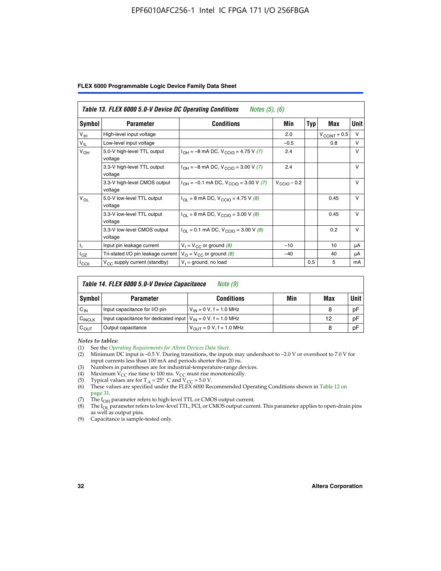|  |  |  | FLEX 6000 Programmable Logic Device Family Data Sheet |  |  |  |
|--|--|--|-------------------------------------------------------|--|--|--|
|--|--|--|-------------------------------------------------------|--|--|--|

|                 | Table 13. FLEX 6000 5.0-V Device DC Operating Conditions<br><i>Notes</i> $(5)$ , $(6)$ |                                                                              |                         |     |                       |              |  |
|-----------------|----------------------------------------------------------------------------------------|------------------------------------------------------------------------------|-------------------------|-----|-----------------------|--------------|--|
| Symbol          | <b>Parameter</b>                                                                       | Conditions                                                                   | Min                     | Typ | Max                   | Unit         |  |
| V <sub>IH</sub> | High-level input voltage                                                               |                                                                              | 2.0                     |     | $V_{\rm CCINT}$ + 0.5 | $\vee$       |  |
| $V_{IL}$        | Low-level input voltage                                                                |                                                                              | $-0.5$                  |     | 0.8                   | $\vee$       |  |
| $V_{OH}$        | 5.0-V high-level TTL output<br>voltage                                                 | $I_{OH} = -8$ mA DC, $V_{CGIO} = 4.75$ V (7)                                 | 2.4                     |     |                       | $\vee$       |  |
|                 | 3.3-V high-level TTL output<br>voltage                                                 | $I_{\text{OH}} = -8 \text{ mA DC}$ , $V_{\text{CClO}} = 3.00 \text{ V}$ (7)  | 2.4                     |     |                       | V            |  |
|                 | 3.3-V high-level CMOS output<br>voltage                                                | $I_{OH} = -0.1$ mA DC, $V_{CCIO} = 3.00$ V (7)                               | $V_{\text{CCIO}} - 0.2$ |     |                       | V            |  |
| $V_{OL}$        | 5.0-V low-level TTL output<br>voltage                                                  | $I_{\text{OI}} = 8 \text{ mA DC}$ , $V_{\text{CCl}} = 4.75 \text{ V}$ (8)    |                         |     | 0.45                  | $\vee$       |  |
|                 | 3.3-V low-level TTL output<br>voltage                                                  | $I_{OL}$ = 8 mA DC, V <sub>CCIO</sub> = 3.00 V (8)                           |                         |     | 0.45                  | $\mathsf{V}$ |  |
|                 | 3.3-V low-level CMOS output<br>voltage                                                 | $I_{\text{OI}} = 0.1 \text{ mA DC}$ , $V_{\text{CCIO}} = 3.00 \text{ V}$ (8) |                         |     | 0.2                   | $\vee$       |  |
|                 | Input pin leakage current                                                              | $V_1 = V_{CC}$ or ground (8)                                                 | $-10$                   |     | 10                    | μA           |  |
| $I_{OZ}$        | Tri-stated I/O pin leakage current $V_{\Omega} = V_{\Omega}$ or ground (8)             |                                                                              | $-40$                   |     | 40                    | μA           |  |
| ICCO            | V <sub>CC</sub> supply current (standby)                                               | $V_1$ = ground, no load                                                      |                         | 0.5 | 5                     | mA           |  |

| Table 14. FLEX 6000 5.0-V Device Capacitance<br>Note (9) |                                                                    |                                |     |     |             |  |
|----------------------------------------------------------|--------------------------------------------------------------------|--------------------------------|-----|-----|-------------|--|
| Symbol                                                   | <b>Parameter</b>                                                   | <b>Conditions</b>              | Min | Max | <b>Unit</b> |  |
| $C_{IN}$                                                 | Input capacitance for I/O pin                                      | $V_{IN} = 0 V$ , f = 1.0 MHz   |     | 8   | pF          |  |
| $C_{\text{INCLK}}$                                       | Input capacitance for dedicated input $V_{IN} = 0 V$ , f = 1.0 MHz |                                |     | 12  | pF          |  |
| $C_{OUT}$                                                | Output capacitance                                                 | $V_{OIII} = 0 V$ , f = 1.0 MHz |     | 8   | pF          |  |

*Notes to tables:*

- (3) Numbers in parentheses are for industrial-temperature-range devices.
- (4) Maximum  $V_{CC}$  rise time to 100 ms.  $V_{CC}$  must rise monotonically.
- 
- (5) Typical values are for T<sub>A</sub> = 25° C and V<sub>CC</sub> = 5.0 V.<br>(6) These values are specified under the FLEX 6000 Recommended Operating Conditions shown in Table 12 on page 31.
- (7) The I<sub>OH</sub> parameter refers to high-level TTL or CMOS output current.
- (8) The I<sub>OL</sub> parameter refers to low-level TTL, PCI, or CMOS output current. This parameter applies to open-drain pins as well as output pins.
- (9) Capacitance is sample-tested only.

<sup>(1)</sup> See the *[Operating Requirements for Altera Devices Data Sheet](http://www.altera.com/literature/ds/dsoprq.pdf)*.

Minimum DC input is –0.5 V. During transitions, the inputs may undershoot to –2.0 V or overshoot to 7.0 V for input currents less than 100 mA and periods shorter than 20 ns.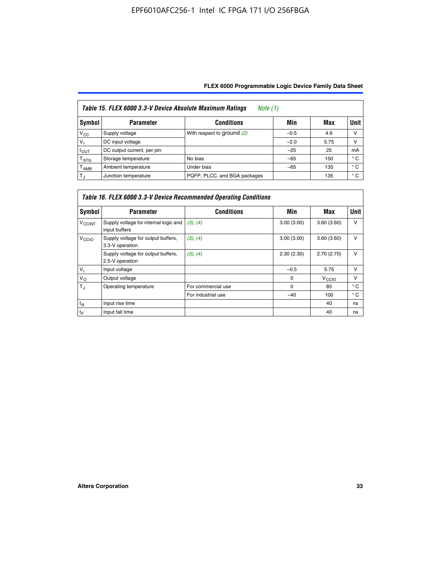| Table 15. FLEX 6000 3.3-V Device Absolute Maximum Ratings<br>Note (1) |                            |                              |        |      |      |  |
|-----------------------------------------------------------------------|----------------------------|------------------------------|--------|------|------|--|
| Symbol                                                                | <b>Parameter</b>           | <b>Conditions</b>            | Min    | Max  | Unit |  |
| $V_{\rm CC}$                                                          | Supply voltage             | With respect to ground (2)   | $-0.5$ | 4.6  | ν    |  |
| v,                                                                    | DC input voltage           |                              | $-2.0$ | 5.75 | ν    |  |
| Ιουτ                                                                  | DC output current, per pin |                              | $-25$  | 25   | mA   |  |
| $\mathsf{T}_{\text{STG}}$                                             | Storage temperature        | No bias                      | $-65$  | 150  | ° C  |  |
| <sup>I</sup> AMB                                                      | Ambient temperature        | Under bias                   | $-65$  | 135  | ° C  |  |
| $T_{\rm J}$                                                           | Junction temperature       | PQFP, PLCC, and BGA packages |        | 135  | ° C  |  |

|                          | Table 16. FLEX 6000 3.3-V Device Recommended Operating Conditions |                    |            |                   |              |  |  |
|--------------------------|-------------------------------------------------------------------|--------------------|------------|-------------------|--------------|--|--|
| Symbol                   | <b>Parameter</b>                                                  | <b>Conditions</b>  | Min        | Max               | <b>Unit</b>  |  |  |
| <b>V<sub>CCINT</sub></b> | Supply voltage for internal logic and<br>input buffers            | (3), (4)           | 3.00(3.00) | 3.60(3.60)        | $\vee$       |  |  |
| V <sub>CCIO</sub>        | Supply voltage for output buffers,<br>3.3-V operation             | (3), (4)           | 3.00(3.00) | 3.60(3.60)        | v            |  |  |
|                          | Supply voltage for output buffers,<br>2.5-V operation             | (3), (4)           | 2.30(2.30) | 2.70(2.70)        | v            |  |  |
| $V_{\perp}$              | Input voltage                                                     |                    | $-0.5$     | 5.75              | $\vee$       |  |  |
| $V_{\rm O}$              | Output voltage                                                    |                    | $\Omega$   | V <sub>CCIO</sub> | v            |  |  |
| $T_{\rm J}$              | Operating temperature                                             | For commercial use | $\Omega$   | 85                | $^{\circ}$ C |  |  |
|                          |                                                                   | For industrial use | $-40$      | 100               | $^{\circ}$ C |  |  |
| $t_{R}$                  | Input rise time                                                   |                    |            | 40                | ns           |  |  |
| $t_F$                    | Input fall time                                                   |                    |            | 40                | ns           |  |  |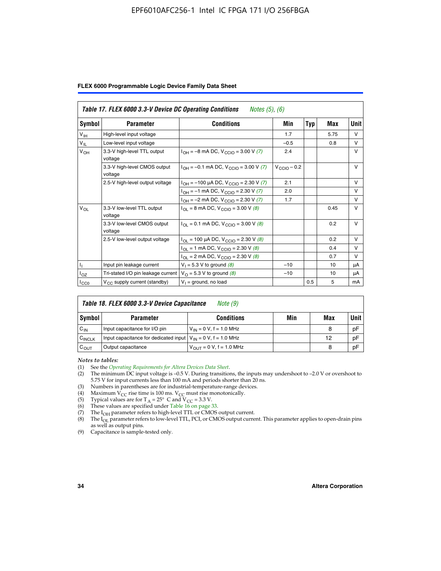|  |  |  | FLEX 6000 Programmable Logic Device Family Data Sheet |  |  |  |
|--|--|--|-------------------------------------------------------|--|--|--|
|--|--|--|-------------------------------------------------------|--|--|--|

|                 | Table 17. FLEX 6000 3.3-V Device DC Operating Conditions<br><i>Notes</i> $(5)$ , $(6)$ |                                                           |                  |     |      |              |  |
|-----------------|----------------------------------------------------------------------------------------|-----------------------------------------------------------|------------------|-----|------|--------------|--|
| Symbol          | <b>Parameter</b>                                                                       | <b>Conditions</b>                                         | Min              | Typ | Max  | Unit         |  |
| $V_{\text{IH}}$ | High-level input voltage                                                               |                                                           | 1.7              |     | 5.75 | $\vee$       |  |
| $V_{IL}$        | Low-level input voltage                                                                |                                                           | $-0.5$           |     | 0.8  | $\vee$       |  |
| $V_{OH}$        | 3.3-V high-level TTL output<br>voltage                                                 | $I_{OH} = -8$ mA DC, $V_{CGIO} = 3.00$ V (7)              | 2.4              |     |      | $\vee$       |  |
|                 | 3.3-V high-level CMOS output<br>voltage                                                | $I_{OH} = -0.1$ mA DC, $V_{CGIO} = 3.00$ V (7)            | $V_{CClO}$ – 0.2 |     |      | $\vee$       |  |
|                 | 2.5-V high-level output voltage                                                        | $I_{OH}$ = -100 µA DC, $V_{CCIO}$ = 2.30 V (7)            | 2.1              |     |      | $\vee$       |  |
|                 |                                                                                        | $I_{OH} = -1$ mA DC, $V_{CCIO} = 2.30 V (7)$              | 2.0              |     |      | $\vee$       |  |
|                 |                                                                                        | $I_{OH} = -2$ mA DC, $V_{CGIO} = 2.30$ V (7)              | 1.7              |     |      | $\mathsf{V}$ |  |
| $V_{OL}$        | 3.3-V low-level TTL output<br>voltage                                                  | $I_{\text{OI}}$ = 8 mA DC, V <sub>CCIO</sub> = 3.00 V (8) |                  |     | 0.45 | $\mathsf{V}$ |  |
|                 | 3.3-V low-level CMOS output<br>voltage                                                 | $I_{OL} = 0.1$ mA DC, $V_{CCIO} = 3.00$ V (8)             |                  |     | 0.2  | $\vee$       |  |
|                 | 2.5-V low-level output voltage                                                         | $I_{OL}$ = 100 µA DC, $V_{CCIO}$ = 2.30 V (8)             |                  |     | 0.2  | $\vee$       |  |
|                 |                                                                                        | $I_{OL}$ = 1 mA DC, $V_{CCIO}$ = 2.30 V (8)               |                  |     | 0.4  | v            |  |
|                 |                                                                                        | $I_{OL}$ = 2 mA DC, $V_{CCIO}$ = 2.30 V (8)               |                  |     | 0.7  | v            |  |
| Η.              | Input pin leakage current                                                              | $V_1 = 5.3 V$ to ground (8)                               | $-10$            |     | 10   | μA           |  |
| $I_{OZ}$        | Tri-stated I/O pin leakage current                                                     | $V_{\Omega}$ = 5.3 V to ground (8)                        | $-10$            |     | 10   | μA           |  |
| $I_{CC0}$       | $V_{CC}$ supply current (standby)                                                      | $V_1$ = ground, no load                                   |                  | 0.5 | 5    | mA           |  |

| Table 18. FLEX 6000 3.3-V Device Capacitance<br>Note (9) |                                                                    |                                      |     |     |             |  |  |  |
|----------------------------------------------------------|--------------------------------------------------------------------|--------------------------------------|-----|-----|-------------|--|--|--|
| Symbol                                                   | <b>Parameter</b>                                                   | <b>Conditions</b>                    | Min | Max | <b>Unit</b> |  |  |  |
| $C_{IN}$                                                 | Input capacitance for I/O pin                                      | $V_{IN} = 0 V$ , f = 1.0 MHz         |     | 8   | pF          |  |  |  |
| C <sub>INCLK</sub>                                       | Input capacitance for dedicated input $V_{IN} = 0 V$ , f = 1.0 MHz |                                      |     | 12  | pF          |  |  |  |
| $C_{OUT}$                                                | Output capacitance                                                 | $V_{\text{OUT}} = 0 V$ , f = 1.0 MHz |     | 8   | pF          |  |  |  |

*Notes to tables:*

- (3) Numbers in parentheses are for industrial-temperature-range devices.
- (4) Maximum V<sub>CC</sub> rise time is 100 ms. V<sub>CC</sub> must rise monotonically.
- (5) Typical values are for  $T_A = 25^\circ$  C and  $V_{CC} = 3.3$  V.<br>(6) These values are specified under Table 16 on page 33.
- 
- (7) The  $I_{OH}$  parameter refers to high-level TTL or CMOS output current.
- (8) The  $I_{OL}$  parameter refers to low-level TTL, PCI, or CMOS output current. This parameter applies to open-drain pins as well as output pins.

(9) Capacitance is sample-tested only.

<sup>(1)</sup> See the *[Operating Requirements for Altera Devices Data Sheet](http://www.altera.com/literature/ds/dsoprq.pdf)*.

<sup>(2)</sup> The minimum DC input voltage is –0.5 V. During transitions, the inputs may undershoot to –2.0 V or overshoot to 5.75 V for input currents less than 100 mA and periods shorter than 20 ns.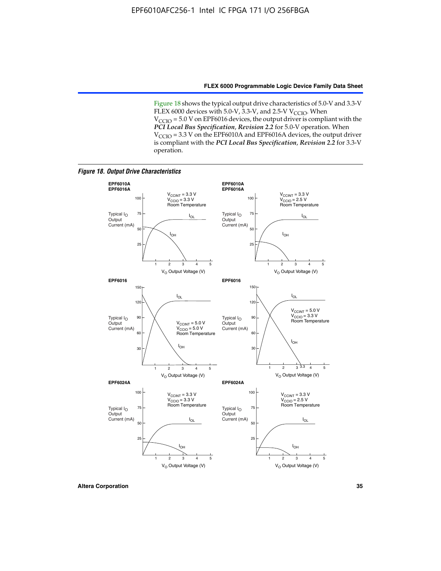Figure 18 shows the typical output drive characteristics of 5.0-V and 3.3-V FLEX 6000 devices with 5.0-V,  $3.3$ -V, and 2.5-V V<sub>CCIO</sub>. When  $V_{\text{CCIO}}$  = 5.0 V on EPF6016 devices, the output driver is compliant with the *PCI Local Bus Specification*, *Revision 2.2* for 5.0-V operation. When  $V_{\text{CCIO}} = 3.3$  V on the EPF6010A and EPF6016A devices, the output driver is compliant with the *PCI Local Bus Specification*, *Revision 2.2* for 3.3-V operation.

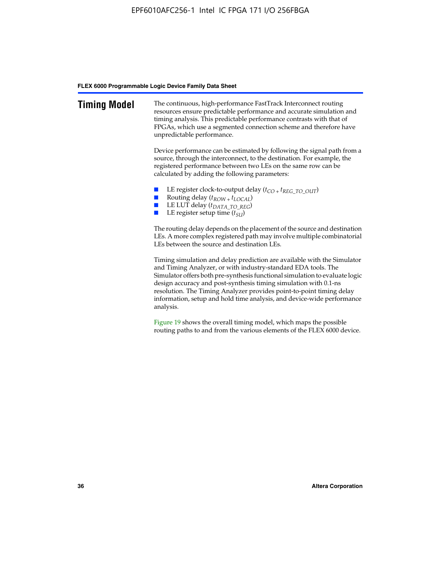| <b>Timing Model</b> | The continuous, high-performance FastTrack Interconnect routing<br>resources ensure predictable performance and accurate simulation and<br>timing analysis. This predictable performance contrasts with that of<br>FPGAs, which use a segmented connection scheme and therefore have<br>unpredictable performance.                                                                                                                                         |
|---------------------|------------------------------------------------------------------------------------------------------------------------------------------------------------------------------------------------------------------------------------------------------------------------------------------------------------------------------------------------------------------------------------------------------------------------------------------------------------|
|                     | Device performance can be estimated by following the signal path from a<br>source, through the interconnect, to the destination. For example, the<br>registered performance between two LEs on the same row can be<br>calculated by adding the following parameters:                                                                                                                                                                                       |
|                     | LE register clock-to-output delay $(t_{CO} + t_{REG\_TO\_OUT})$<br>Routing delay $(t_{ROW} + t_{LOCAL})$<br>LE LUT delay (t <sub>DATA_TO_REG</sub> )<br>LE register setup time $(t_{SU})$                                                                                                                                                                                                                                                                  |
|                     | The routing delay depends on the placement of the source and destination<br>LEs. A more complex registered path may involve multiple combinatorial<br>LEs between the source and destination LEs.                                                                                                                                                                                                                                                          |
|                     | Timing simulation and delay prediction are available with the Simulator<br>and Timing Analyzer, or with industry-standard EDA tools. The<br>Simulator offers both pre-synthesis functional simulation to evaluate logic<br>design accuracy and post-synthesis timing simulation with 0.1-ns<br>resolution. The Timing Analyzer provides point-to-point timing delay<br>information, setup and hold time analysis, and device-wide performance<br>analysis. |
|                     | Figure 19 shows the overall timing model, which maps the possible                                                                                                                                                                                                                                                                                                                                                                                          |

routing paths to and from the various elements of the FLEX 6000 device.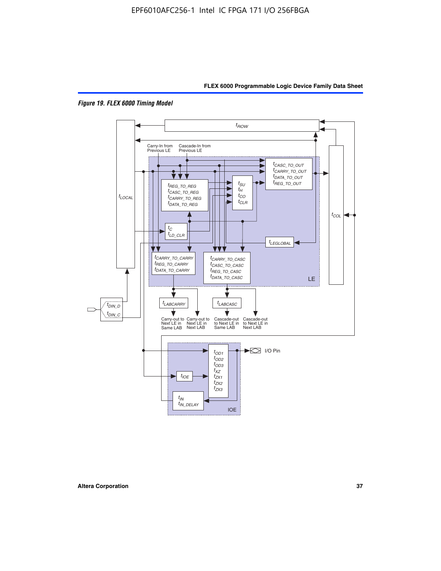



*Figure 19. FLEX 6000 Timing Model*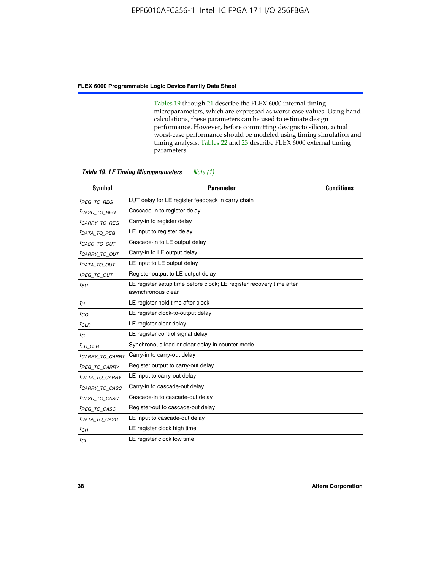Tables 19 through 21 describe the FLEX 6000 internal timing microparameters, which are expressed as worst-case values. Using hand calculations, these parameters can be used to estimate design performance. However, before committing designs to silicon, actual worst-case performance should be modeled using timing simulation and timing analysis. Tables 22 and 23 describe FLEX 6000 external timing parameters.

| <b>Symbol</b>               | <b>Parameter</b>                                                                           | <b>Conditions</b> |
|-----------------------------|--------------------------------------------------------------------------------------------|-------------------|
| <sup>t</sup> REG TO REG     | LUT delay for LE register feedback in carry chain                                          |                   |
| <sup>t</sup> CASC TO REG    | Cascade-in to register delay                                                               |                   |
| <sup>t</sup> CARRY TO REG   | Carry-in to register delay                                                                 |                   |
| <sup>t</sup> DATA TO REG    | LE input to register delay                                                                 |                   |
| <sup>t</sup> casc to out    | Cascade-in to LE output delay                                                              |                   |
| <sup>t</sup> CARRY TO OUT   | Carry-in to LE output delay                                                                |                   |
| <sup>t</sup> DATA TO OUT    | LE input to LE output delay                                                                |                   |
| $t_{\mathsf{REG}}$ to out   | Register output to LE output delay                                                         |                   |
| $t_{SU}$                    | LE register setup time before clock; LE register recovery time after<br>asynchronous clear |                   |
| $t_H$                       | LE register hold time after clock                                                          |                   |
| $t_{CO}$                    | LE register clock-to-output delay                                                          |                   |
| $t_{CLR}$                   | LE register clear delay                                                                    |                   |
| $t_C$                       | LE register control signal delay                                                           |                   |
| $t_{LD\_CLR}$               | Synchronous load or clear delay in counter mode                                            |                   |
| <sup>t</sup> CARRY_TO_CARRY | Carry-in to carry-out delay                                                                |                   |
| <sup>t</sup> REG_TO_CARRY   | Register output to carry-out delay                                                         |                   |
| <sup>t</sup> DATA_TO_CARRY  | LE input to carry-out delay                                                                |                   |
| <sup>t</sup> CARRY TO CASC  | Carry-in to cascade-out delay                                                              |                   |
| <sup>t</sup> CASC TO CASC   | Cascade-in to cascade-out delay                                                            |                   |
| <sup>t</sup> REG TO CASC    | Register-out to cascade-out delay                                                          |                   |
| <sup>I</sup> DATA TO CASC   | LE input to cascade-out delay                                                              |                   |
| $t_{CH}$                    | LE register clock high time                                                                |                   |
| $t_{CL}$                    | LE register clock low time                                                                 |                   |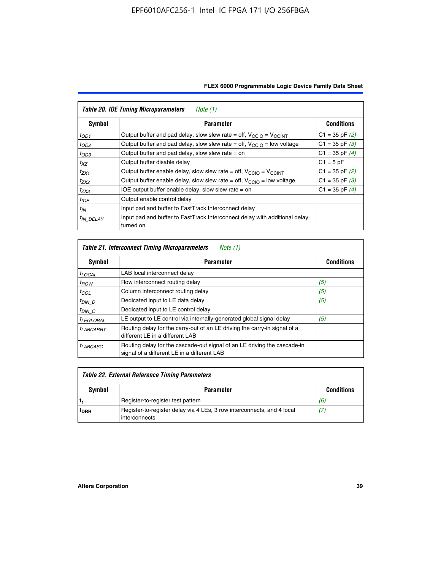| Symbol                | <b>Parameter</b>                                                                        | <b>Conditions</b>  |
|-----------------------|-----------------------------------------------------------------------------------------|--------------------|
| $t_{OD1}$             | Output buffer and pad delay, slow slew rate = off, $V_{\text{CCIO}} = V_{\text{CCINT}}$ | $C1 = 35$ pF $(2)$ |
| $t_{OD2}$             | Output buffer and pad delay, slow slew rate = off, $V_{\text{CCIO}}$ = low voltage      | $C1 = 35$ pF $(3)$ |
| $t_{OD3}$             | Output buffer and pad delay, slow slew rate $=$ on                                      | $C1 = 35$ pF $(4)$ |
| $t_{XZ}$              | Output buffer disable delay                                                             | $C1 = 5pF$         |
| $t_{ZX1}$             | Output buffer enable delay, slow slew rate = off, $V_{\text{CCIO}} = V_{\text{CCINT}}$  | $C1 = 35$ pF $(2)$ |
| $t_{ZX2}$             | Output buffer enable delay, slow slew rate = off, $V_{\text{CCIO}}$ = low voltage       | $C1 = 35$ pF $(3)$ |
| $t_{ZX3}$             | IOE output buffer enable delay, slow slew rate $=$ on                                   | $C1 = 35$ pF $(4)$ |
| $t_{IOE}$             | Output enable control delay                                                             |                    |
| $t_{IN}$              | Input pad and buffer to FastTrack Interconnect delay                                    |                    |
| <sup>t</sup> IN DELAY | Input pad and buffer to FastTrack Interconnect delay with additional delay<br>turned on |                    |

| <b>Table 21. Interconnect Timing Microparameters</b><br>Note (1) |                                                                                                                         |                   |  |  |  |  |
|------------------------------------------------------------------|-------------------------------------------------------------------------------------------------------------------------|-------------------|--|--|--|--|
| Symbol                                                           | <b>Parameter</b>                                                                                                        | <b>Conditions</b> |  |  |  |  |
| $t_{LOCAL}$                                                      | LAB local interconnect delay                                                                                            |                   |  |  |  |  |
| $t_{ROW}$                                                        | Row interconnect routing delay                                                                                          | (5)               |  |  |  |  |
| $t_{COL}$                                                        | Column interconnect routing delay                                                                                       | (5)               |  |  |  |  |
| <sup>t</sup> DIN D                                               | Dedicated input to LE data delay                                                                                        | (5)               |  |  |  |  |
| $t_{DIN}$ $C$                                                    | Dedicated input to LE control delay                                                                                     |                   |  |  |  |  |
| <sup>t</sup> LEGLOBAL                                            | LE output to LE control via internally-generated global signal delay                                                    | (5)               |  |  |  |  |
| $t_{LABCAARY}$                                                   | Routing delay for the carry-out of an LE driving the carry-in signal of a<br>different LE in a different LAB            |                   |  |  |  |  |
| <sup>t</sup> LABCASC                                             | Routing delay for the cascade-out signal of an LE driving the cascade-in<br>signal of a different LE in a different LAB |                   |  |  |  |  |

| Table 22. External Reference Timing Parameters |                                                                                         |                   |  |  |  |
|------------------------------------------------|-----------------------------------------------------------------------------------------|-------------------|--|--|--|
| Symbol                                         | <b>Parameter</b>                                                                        | <b>Conditions</b> |  |  |  |
|                                                | Register-to-register test pattern                                                       | (6)               |  |  |  |
| t <sub>DRR</sub>                               | Register-to-register delay via 4 LEs, 3 row interconnects, and 4 local<br>interconnects | (7)               |  |  |  |

 $\mathbf{r}$ 

 $\overline{\phantom{0}}$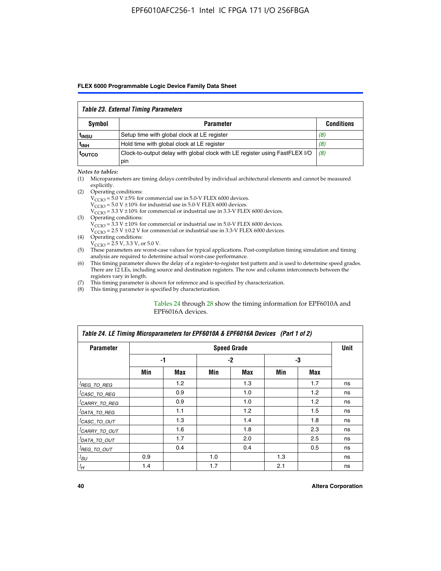#### *Table 23. External Timing Parameters*

| Symbol            | <b>Parameter</b>                                                                   | <b>Conditions</b> |  |  |  |  |
|-------------------|------------------------------------------------------------------------------------|-------------------|--|--|--|--|
| <sup>t</sup> insu | Setup time with global clock at LE register                                        | (8)               |  |  |  |  |
| t <sub>INH</sub>  | Hold time with global clock at LE register                                         | (8)               |  |  |  |  |
| toutco            | Clock-to-output delay with global clock with LE register using FastFLEX I/O<br>pin | (8)               |  |  |  |  |

#### *Notes to tables:*

- (1) Microparameters are timing delays contributed by individual architectural elements and cannot be measured explicitly.
- (2) Operating conditions:  $V_{\text{CCIO}} = 5.0 \text{ V} \pm 5\%$  for commercial use in 5.0-V FLEX 6000 devices.  $V_{\text{CCIO}} = 5.0 \text{ V} \pm 10\%$  for industrial use in 5.0-V FLEX 6000 devices.  $V<sub>CCO</sub> = 3.3 V ± 10%$  for commercial or industrial use in 3.3-V FLEX 6000 devices. (3) Operating conditions:
	- $V_{\text{CCIO}} = 3.3 \text{ V} \pm 10\%$  for commercial or industrial use in 5.0-V FLEX 6000 devices.
		- $V_{\text{CCIO}}$  = 2.5 V ± 0.2 V for commercial or industrial use in 3.3-V FLEX 6000 devices.
- (4) Operating conditions:  $V_{\text{CCIO}} = 2.5 \text{ V}$ , 3.3 V, or 5.0 V.
- (5) These parameters are worst-case values for typical applications. Post-compilation timing simulation and timing analysis are required to determine actual worst-case performance.
- (6) This timing parameter shows the delay of a register-to-register test pattern and is used to determine speed grades. There are 12 LEs, including source and destination registers. The row and column interconnects between the registers vary in length.
- (7) This timing parameter is shown for reference and is specified by characterization.
- (8) This timing parameter is specified by characterization.

#### Tables 24 through 28 show the timing information for EPF6010A and EPF6016A devices.

| Table 24. LE Timing Microparameters for EPF6010A & EPF6016A Devices (Part 1 of 2) |     |                  |      |                    |     |     |             |  |
|-----------------------------------------------------------------------------------|-----|------------------|------|--------------------|-----|-----|-------------|--|
| <b>Parameter</b>                                                                  |     |                  |      | <b>Speed Grade</b> |     |     | <b>Unit</b> |  |
|                                                                                   |     | -1               | $-2$ |                    | -3  |     |             |  |
|                                                                                   | Min | Max              | Min  | Max                | Min | Max |             |  |
| <sup>[</sup> REG_TO_REG                                                           |     | 1.2 <sub>2</sub> |      | 1.3                |     | 1.7 | ns          |  |
| <sup>I</sup> CASC_TO_REG                                                          |     | 0.9              |      | 1.0                |     | 1.2 | ns          |  |
| <sup>I</sup> CARRY_TO_REG                                                         |     | 0.9              |      | 1.0                |     | 1.2 | ns          |  |
| <sup>I</sup> DATA_TO_REG                                                          |     | 1.1              |      | 1.2                |     | 1.5 | ns          |  |
| <sup>I</sup> CASC_TO_OUT                                                          |     | 1.3              |      | 1.4                |     | 1.8 | ns          |  |
| <sup>I</sup> CARRY_TO_OUT                                                         |     | 1.6              |      | 1.8                |     | 2.3 | ns          |  |
| <sup>I</sup> DATA_TO_OUT                                                          |     | 1.7              |      | 2.0                |     | 2.5 | ns          |  |
| <sup>I</sup> REG_TO_OUT                                                           |     | 0.4              |      | 0.4                |     | 0.5 | ns          |  |
| $t_{SU}$                                                                          | 0.9 |                  | 1.0  |                    | 1.3 |     | ns          |  |
| $t_H$                                                                             | 1.4 |                  | 1.7  |                    | 2.1 |     | ns          |  |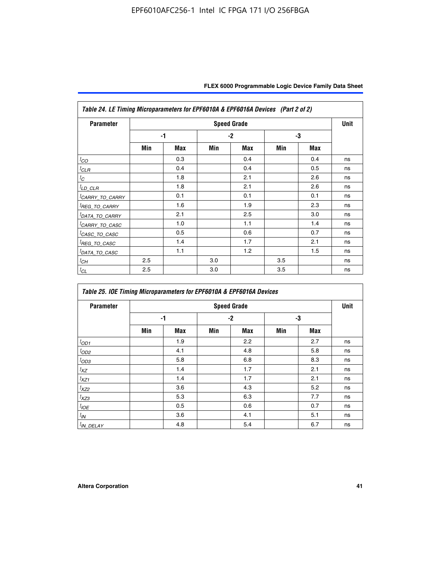| <b>Parameter</b>            |     |            |     | <b>Speed Grade</b> |     |            | <b>Unit</b> |
|-----------------------------|-----|------------|-----|--------------------|-----|------------|-------------|
|                             |     | $-1$       |     | $-2$               |     | -3         |             |
|                             | Min | <b>Max</b> | Min | <b>Max</b>         | Min | <b>Max</b> |             |
| ${}^t\!co$                  |     | 0.3        |     | 0.4                |     | 0.4        | ns          |
| <sup>I</sup> CLR            |     | 0.4        |     | 0.4                |     | 0.5        | ns          |
| $t_C$                       |     | 1.8        |     | 2.1                |     | 2.6        | ns          |
| ${}^{l}$ LD_CLR             |     | 1.8        |     | 2.1                |     | 2.6        | ns          |
| <sup>I</sup> CARRY_TO_CARRY |     | 0.1        |     | 0.1                |     | 0.1        | ns          |
| <sup>I</sup> REG_TO_CARRY   |     | 1.6        |     | 1.9                |     | 2.3        | ns          |
| <sup>I</sup> DATA_TO_CARRY  |     | 2.1        |     | 2.5                |     | 3.0        | ns          |
| <sup>I</sup> CARRY_TO_CASC  |     | 1.0        |     | 1.1                |     | 1.4        | ns          |
| <sup>I</sup> CASC_TO_CASC   |     | 0.5        |     | 0.6                |     | 0.7        | ns          |
| <sup>I</sup> REG_TO_CASC    |     | 1.4        |     | 1.7                |     | 2.1        | ns          |
| <sup>I</sup> DATA_TO_CASC   |     | 1.1        |     | 1.2                |     | 1.5        | ns          |
| ${}^tC H$                   | 2.5 |            | 3.0 |                    | 3.5 |            | ns          |
| $t_{CL}$                    | 2.5 |            | 3.0 |                    | 3.5 |            | ns          |

| Table 25. IOE Timing Microparameters for EPF6010A & EPF6016A Devices |     |            |     |                    |     |            |      |  |
|----------------------------------------------------------------------|-----|------------|-----|--------------------|-----|------------|------|--|
| <b>Parameter</b>                                                     |     |            |     | <b>Speed Grade</b> |     |            | Unit |  |
|                                                                      |     | -1         |     | $-2$               |     | -3         |      |  |
|                                                                      | Min | <b>Max</b> | Min | <b>Max</b>         | Min | <b>Max</b> |      |  |
| $t_{OD1}$                                                            |     | 1.9        |     | 2.2                |     | 2.7        | ns   |  |
| ${}^{t}$ OD2                                                         |     | 4.1        |     | 4.8                |     | 5.8        | ns   |  |
| $t_{OD3}$                                                            |     | 5.8        |     | 6.8                |     | 8.3        | ns   |  |
| $t_{XZ}$                                                             |     | 1.4        |     | 1.7                |     | 2.1        | ns   |  |
| $t_{XZ1}$                                                            |     | 1.4        |     | 1.7                |     | 2.1        | ns   |  |
| $t_{XZ2}$                                                            |     | 3.6        |     | 4.3                |     | 5.2        | ns   |  |
| $t_{XZ3}$                                                            |     | 5.3        |     | 6.3                |     | 7.7        | ns   |  |
| $t_{IOE}$                                                            |     | 0.5        |     | 0.6                |     | 0.7        | ns   |  |
| $t_{IN}$                                                             |     | 3.6        |     | 4.1                |     | 5.1        | ns   |  |
| $t_{IN\_DELAY}$                                                      |     | 4.8        |     | 5.4                |     | 6.7        | ns   |  |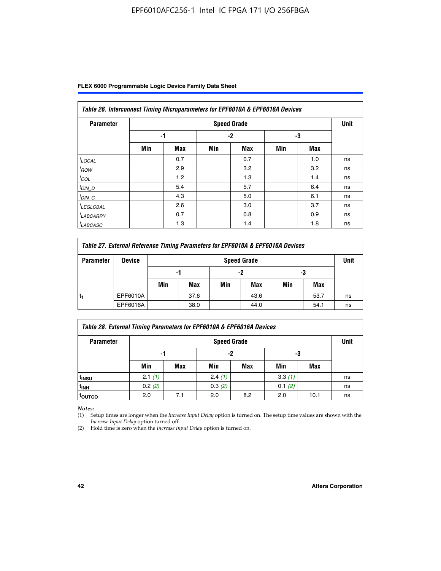| Table 26. Interconnect Timing Microparameters for EPF6010A & EPF6016A Devices |     |            |     |                    |     |     |             |  |
|-------------------------------------------------------------------------------|-----|------------|-----|--------------------|-----|-----|-------------|--|
| <b>Parameter</b>                                                              |     |            |     | <b>Speed Grade</b> |     |     | <b>Unit</b> |  |
|                                                                               |     | -1         |     | $-2$               |     | -3  |             |  |
|                                                                               | Min | <b>Max</b> | Min | <b>Max</b>         | Min | Max |             |  |
| $t$ LOCAL                                                                     |     | 0.7        |     | 0.7                |     | 1.0 | ns          |  |
| $t_{\text{ROW}}$                                                              |     | 2.9        |     | 3.2                |     | 3.2 | ns          |  |
| $t_{COL}$                                                                     |     | 1.2        |     | 1.3                |     | 1.4 | ns          |  |
| <u><sup>t</sup>DIN_D</u>                                                      |     | 5.4        |     | 5.7                |     | 6.4 | ns          |  |
| $t_{DIN\_C}$                                                                  |     | 4.3        |     | 5.0                |     | 6.1 | ns          |  |
| <sup>I</sup> LEGLOBAL                                                         |     | 2.6        |     | 3.0                |     | 3.7 | ns          |  |
| <sup>I</sup> LABCARRY                                                         |     | 0.7        |     | 0.8                |     | 0.9 | ns          |  |
| <sup>I</sup> LABCASC                                                          |     | 1.3        |     | 1.4                |     | 1.8 | ns          |  |

| Table 27. External Reference Timing Parameters for EPF6010A & EPF6016A Devices |               |                    |          |     |      |     |      |    |  |  |
|--------------------------------------------------------------------------------|---------------|--------------------|----------|-----|------|-----|------|----|--|--|
| <b>Parameter</b>                                                               | <b>Device</b> | <b>Speed Grade</b> |          |     |      |     |      |    |  |  |
|                                                                                |               |                    | -2<br>-1 |     | -3   |     |      |    |  |  |
|                                                                                |               | Min                | Max      | Min | Max  | Min | Max  |    |  |  |
| t,                                                                             | EPF6010A      |                    | 37.6     |     | 43.6 |     | 53.7 | ns |  |  |
|                                                                                | EPF6016A      |                    | 38.0     |     | 44.0 |     | 54.1 | ns |  |  |

| <b>Parameter</b>  |        | <b>Speed Grade</b> |        |     |        |      |    |  |  |
|-------------------|--------|--------------------|--------|-----|--------|------|----|--|--|
|                   | -1     |                    | -2     |     | -3     |      |    |  |  |
|                   | Min    | Max                | Min    | Max | Min    | Max  |    |  |  |
| t <sub>insu</sub> | 2.1(1) |                    | 2.4(1) |     | 3.3(1) |      | ns |  |  |
| <sup>t</sup> inh  | 0.2(2) |                    | 0.3(2) |     | 0.1(2) |      | ns |  |  |
| toutco            | 2.0    | 7.1                | 2.0    | 8.2 | 2.0    | 10.1 | ns |  |  |

*Notes:*

(1) Setup times are longer when the *Increase Input Delay* option is turned on. The setup time values are shown with the *Increase Input Delay* option turned off.

(2) Hold time is zero when the *Increase Input Delay* option is turned on.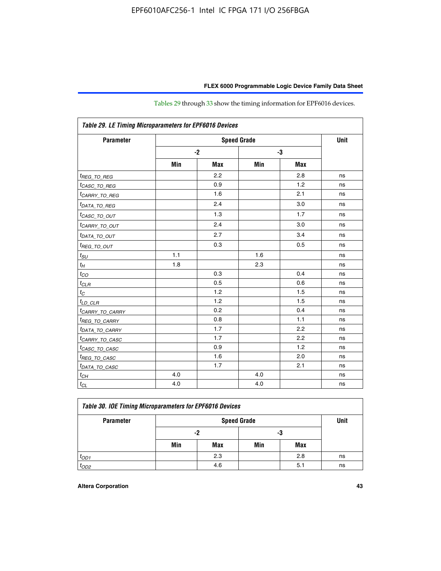| Table 29. LE Timing Microparameters for EPF6016 Devices |     |            |     |            |    |  |  |  |  |
|---------------------------------------------------------|-----|------------|-----|------------|----|--|--|--|--|
| <b>Parameter</b>                                        |     | Unit       |     |            |    |  |  |  |  |
|                                                         |     | $-2$       | -3  |            |    |  |  |  |  |
|                                                         | Min | <b>Max</b> | Min | <b>Max</b> |    |  |  |  |  |
| <sup>t</sup> REG_ <u>TO_REG</u>                         |     | 2.2        |     | 2.8        | ns |  |  |  |  |
| <sup>t</sup> CASC_TO_REG                                |     | 0.9        |     | 1.2        | ns |  |  |  |  |
| <sup>I</sup> CARRY_TO_REG                               |     | 1.6        |     | 2.1        | ns |  |  |  |  |
| <sup>t</sup> DATA_TO_REG                                |     | 2.4        |     | 3.0        | ns |  |  |  |  |
| <sup>t</sup> CASC_TO_OUT                                |     | 1.3        |     | 1.7        | ns |  |  |  |  |
| <sup>t</sup> CARRY_TO_OUT                               |     | 2.4        |     | 3.0        | ns |  |  |  |  |
| <sup>t</sup> DATA_TO_OUT                                |     | 2.7        |     | 3.4        | ns |  |  |  |  |
| <i>t<sub>REG_TO_OUT</sub></i>                           |     | 0.3        |     | 0.5        | ns |  |  |  |  |
| $t_{SU}$                                                | 1.1 |            | 1.6 |            | ns |  |  |  |  |
| $t_H$                                                   | 1.8 |            | 2.3 |            | ns |  |  |  |  |
| $t_{CO}$                                                |     | 0.3        |     | 0.4        | ns |  |  |  |  |
| $t_{CLR}$                                               |     | 0.5        |     | 0.6        | ns |  |  |  |  |
| $t_C$                                                   |     | 1.2        |     | 1.5        | ns |  |  |  |  |
| $t_{LD\_CLR}$                                           |     | 1.2        |     | 1.5        | ns |  |  |  |  |
| <sup>t</sup> CARRY_TO_CARRY                             |     | 0.2        |     | 0.4        | ns |  |  |  |  |
| <sup>t</sup> REG_TO_CARRY                               |     | 0.8        |     | 1.1        | ns |  |  |  |  |
| <sup>t</sup> DATA_TO_CARRY                              |     | 1.7        |     | 2.2        | ns |  |  |  |  |
| <sup>t</sup> CARRY_TO_CASC                              |     | 1.7        |     | 2.2        | ns |  |  |  |  |
| <sup>t</sup> CASC_TO_CASC                               |     | 0.9        |     | 1.2        | ns |  |  |  |  |
| <sup>t</sup> REG_TO_CASC                                |     | 1.6        |     | 2.0        | ns |  |  |  |  |
| <sup>t</sup> DATA_TO_CASC                               |     | 1.7        |     | 2.1        | ns |  |  |  |  |
| $t_{CH}$                                                | 4.0 |            | 4.0 |            | ns |  |  |  |  |
| $t_{CL}$                                                | 4.0 |            | 4.0 |            | ns |  |  |  |  |

Tables 29 through 33 show the timing information for EPF6016 devices.

| Table 30. IOE Timing Microparameters for EPF6016 Devices |     |                    |     |     |    |  |  |  |  |  |
|----------------------------------------------------------|-----|--------------------|-----|-----|----|--|--|--|--|--|
| <b>Parameter</b>                                         |     | <b>Speed Grade</b> |     |     |    |  |  |  |  |  |
|                                                          |     | -2                 | -3  |     |    |  |  |  |  |  |
|                                                          | Min | Max                | Min | Max |    |  |  |  |  |  |
| $t_{OD1}$                                                |     | 2.3                |     | 2.8 | ns |  |  |  |  |  |
| $t_{OD2}$                                                |     | 4.6                |     | 5.1 | ns |  |  |  |  |  |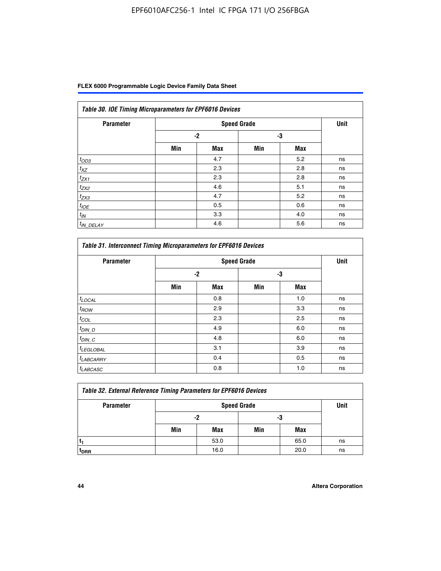| Table 30. IOE Timing Microparameters for EPF6016 Devices |      |                    |     |            |      |  |  |  |  |  |
|----------------------------------------------------------|------|--------------------|-----|------------|------|--|--|--|--|--|
| <b>Parameter</b>                                         |      | <b>Speed Grade</b> |     |            | Unit |  |  |  |  |  |
|                                                          | $-2$ |                    | -3  |            |      |  |  |  |  |  |
|                                                          | Min  | <b>Max</b>         | Min | <b>Max</b> |      |  |  |  |  |  |
| $t_{OD3}$                                                |      | 4.7                |     | 5.2        | ns   |  |  |  |  |  |
| $t_{XZ}$                                                 |      | 2.3                |     | 2.8        | ns   |  |  |  |  |  |
| $t_{ZX1}$                                                |      | 2.3                |     | 2.8        | ns   |  |  |  |  |  |
| $t_{ZX2}$                                                |      | 4.6                |     | 5.1        | ns   |  |  |  |  |  |
| $t_{ZX3}$                                                |      | 4.7                |     | 5.2        | ns   |  |  |  |  |  |
| $t_{IOE}$                                                |      | 0.5                |     | 0.6        | ns   |  |  |  |  |  |
| $t_{IN}$                                                 |      | 3.3                |     | 4.0        | ns   |  |  |  |  |  |
| $t_{IN}$ DELAY                                           |      | 4.6                |     | 5.6        | ns   |  |  |  |  |  |

| <b>Parameter</b>      |     | <b>Speed Grade</b> |     |            | <b>Unit</b> |
|-----------------------|-----|--------------------|-----|------------|-------------|
|                       |     | $-2$               | -3  |            |             |
|                       | Min | <b>Max</b>         | Min | <b>Max</b> |             |
| $t_{LOCAL}$           |     | 0.8                |     | 1.0        | ns          |
| $t_{ROW}$             |     | 2.9                |     | 3.3        | ns          |
| $t_{COL}$             |     | 2.3                |     | 2.5        | ns          |
| $t_{DIN\_D}$          |     | 4.9                |     | 6.0        | ns          |
| $t_{DIN\_C}$          |     | 4.8                |     | 6.0        | ns          |
| <sup>t</sup> LEGLOBAL |     | 3.1                |     | 3.9        | ns          |
| <sup>t</sup> LABCARRY |     | 0.4                |     | 0.5        | ns          |
| <sup>t</sup> LABCASC  |     | 0.8                |     | 1.0        | ns          |

| <b>Table 32. External Reference Timing Parameters for EPF6016 Devices</b> |     |      |     |      |    |  |  |  |  |
|---------------------------------------------------------------------------|-----|------|-----|------|----|--|--|--|--|
| <b>Parameter</b>                                                          |     | Unit |     |      |    |  |  |  |  |
|                                                                           |     | -2   | -3  |      |    |  |  |  |  |
|                                                                           | Min | Max  | Min | Max  |    |  |  |  |  |
|                                                                           |     | 53.0 |     | 65.0 | ns |  |  |  |  |
| <sup>T</sup> DRR                                                          |     | 16.0 |     | 20.0 | ns |  |  |  |  |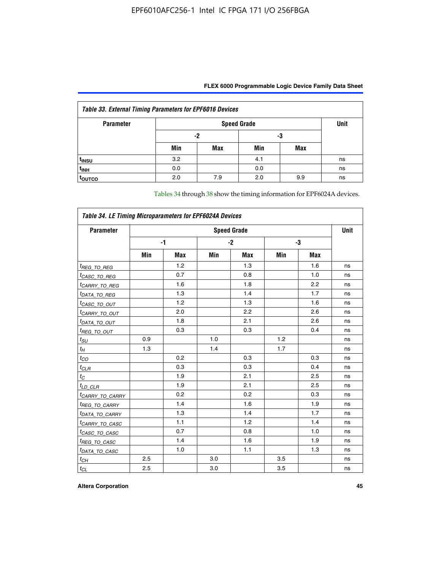| <b>Table 33. External Timing Parameters for EPF6016 Devices</b> |     |                    |     |            |    |  |  |  |  |  |
|-----------------------------------------------------------------|-----|--------------------|-----|------------|----|--|--|--|--|--|
| <b>Parameter</b>                                                |     | <b>Speed Grade</b> |     |            |    |  |  |  |  |  |
|                                                                 |     | -2                 | -3  |            |    |  |  |  |  |  |
|                                                                 | Min | Max                | Min | <b>Max</b> |    |  |  |  |  |  |
| t <sub>INSU</sub>                                               | 3.2 |                    | 4.1 |            | ns |  |  |  |  |  |
| $t_{INH}$                                                       | 0.0 |                    | 0.0 |            | ns |  |  |  |  |  |
| <b>TOUTCO</b>                                                   | 2.0 | 7.9                | 2.0 | 9.9        | ns |  |  |  |  |  |

Tables 34 through 38 show the timing information for EPF6024A devices.

| Table 34. LE Timing Microparameters for EPF6024A Devices |                    |            |     |            |     |            |    |  |  |
|----------------------------------------------------------|--------------------|------------|-----|------------|-----|------------|----|--|--|
| <b>Parameter</b>                                         | <b>Speed Grade</b> |            |     |            |     |            |    |  |  |
|                                                          |                    | $-1$       |     | $-2$       |     | -3         |    |  |  |
|                                                          | Min                | <b>Max</b> | Min | <b>Max</b> | Min | <b>Max</b> |    |  |  |
| <sup>t</sup> REG_TO_REG                                  |                    | 1.2        |     | 1.3        |     | 1.6        | ns |  |  |
| <sup>t</sup> CASC_TO_REG                                 |                    | 0.7        |     | 0.8        |     | 1.0        | ns |  |  |
| <sup>t</sup> CARRY_TO_REG                                |                    | 1.6        |     | 1.8        |     | 2.2        | ns |  |  |
| <sup>t</sup> DATA_TO_REG                                 |                    | 1.3        |     | 1.4        |     | 1.7        | ns |  |  |
| <sup>t</sup> CASC_TO_OUT                                 |                    | 1.2        |     | 1.3        |     | 1.6        | ns |  |  |
| <sup>t</sup> CARRY_TO_OUT                                |                    | 2.0        |     | 2.2        |     | 2.6        | ns |  |  |
| <sup>t</sup> DATA_TO_OUT                                 |                    | 1.8        |     | 2.1        |     | 2.6        | ns |  |  |
| <i>t<sub>REG_TO_OUT</sub></i>                            |                    | 0.3        |     | 0.3        |     | 0.4        | ns |  |  |
| $t_{\text{SU}}$                                          | 0.9                |            | 1.0 |            | 1.2 |            | ns |  |  |
| $t_H$                                                    | 1.3                |            | 1.4 |            | 1.7 |            | ns |  |  |
| $t_{CO}$                                                 |                    | 0.2        |     | 0.3        |     | 0.3        | ns |  |  |
| $t_{CLR}$                                                |                    | 0.3        |     | 0.3        |     | 0.4        | ns |  |  |
| $t_C$                                                    |                    | 1.9        |     | 2.1        |     | 2.5        | ns |  |  |
| $t_{LD\_CLR}$                                            |                    | 1.9        |     | 2.1        |     | 2.5        | ns |  |  |
| <sup>t</sup> CARRY_TO_CARRY                              |                    | 0.2        |     | 0.2        |     | 0.3        | ns |  |  |
| <sup>t</sup> REG_TO_CARRY                                |                    | 1.4        |     | 1.6        |     | 1.9        | ns |  |  |
| <sup>t</sup> DATA_TO_CARRY                               |                    | 1.3        |     | 1.4        |     | 1.7        | ns |  |  |
| <sup>t</sup> CARRY_TO_CASC                               |                    | 1.1        |     | 1.2        |     | 1.4        | ns |  |  |
| <sup>t</sup> CASC_TO_CASC                                |                    | 0.7        |     | 0.8        |     | 1.0        | ns |  |  |
| <sup>t</sup> REG_TO_CASC                                 |                    | 1.4        |     | 1.6        |     | 1.9        | ns |  |  |
| <sup>t</sup> DATA_TO_CASC                                |                    | 1.0        |     | 1.1        |     | 1.3        | ns |  |  |
| $t_{CH}$                                                 | 2.5                |            | 3.0 |            | 3.5 |            | ns |  |  |
| $t_{CL}$                                                 | 2.5                |            | 3.0 |            | 3.5 |            | ns |  |  |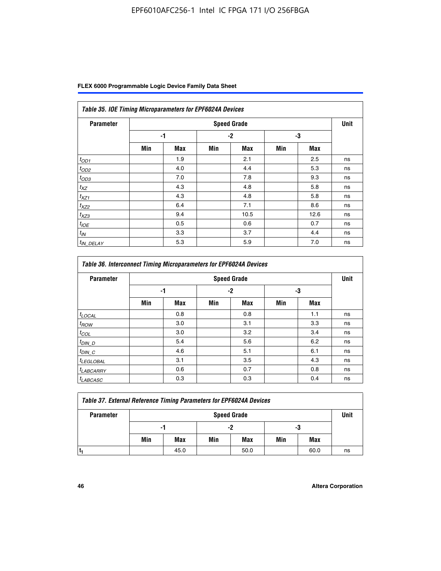|  | FLEX 6000 Programmable Logic Device Family Data Sheet |  |  |
|--|-------------------------------------------------------|--|--|
|--|-------------------------------------------------------|--|--|

| Table 35. IOE Timing Microparameters for EPF6024A Devices |     |            |      |                    |     |            |      |  |  |  |
|-----------------------------------------------------------|-----|------------|------|--------------------|-----|------------|------|--|--|--|
| <b>Parameter</b>                                          |     |            |      | <b>Speed Grade</b> |     |            | Unit |  |  |  |
|                                                           |     | -1         | $-2$ |                    | -3  |            |      |  |  |  |
|                                                           | Min | <b>Max</b> | Min  | <b>Max</b>         | Min | <b>Max</b> |      |  |  |  |
| $t_{OD1}$                                                 |     | 1.9        |      | 2.1                |     | 2.5        | ns   |  |  |  |
| $t_{OD2}$                                                 |     | 4.0        |      | 4.4                |     | 5.3        | ns   |  |  |  |
| $t_{OD3}$                                                 |     | 7.0        |      | 7.8                |     | 9.3        | ns   |  |  |  |
| $t_{XZ}$                                                  |     | 4.3        |      | 4.8                |     | 5.8        | ns   |  |  |  |
| $t_{XZ1}$                                                 |     | 4.3        |      | 4.8                |     | 5.8        | ns   |  |  |  |
| $t_{XZ2}$                                                 |     | 6.4        |      | 7.1                |     | 8.6        | ns   |  |  |  |
| $t_{XZ3}$                                                 |     | 9.4        |      | 10.5               |     | 12.6       | ns   |  |  |  |
| $t_{IOE}$                                                 |     | 0.5        |      | 0.6                |     | 0.7        | ns   |  |  |  |
| $t_{IN}$                                                  |     | 3.3        |      | 3.7                |     | 4.4        | ns   |  |  |  |
| <sup>t</sup> IN_DELAY                                     |     | 5.3        |      | 5.9                |     | 7.0        | ns   |  |  |  |

| <b>Table 36. Interconnect Timing Microparameters for EPF6024A Devices</b> |                    |            |     |            |     |            |    |
|---------------------------------------------------------------------------|--------------------|------------|-----|------------|-----|------------|----|
| <b>Parameter</b>                                                          | <b>Speed Grade</b> |            |     |            |     |            |    |
|                                                                           | -1                 |            | -2  |            | -3  |            |    |
|                                                                           | Min                | <b>Max</b> | Min | <b>Max</b> | Min | <b>Max</b> |    |
| $t_{LOCAL}$                                                               |                    | 0.8        |     | 0.8        |     | 1.1        | ns |
| $t_{ROW}$                                                                 |                    | 3.0        |     | 3.1        |     | 3.3        | ns |
| $t_{COL}$                                                                 |                    | 3.0        |     | 3.2        |     | 3.4        | ns |
| $t_{DIN\_D}$                                                              |                    | 5.4        |     | 5.6        |     | 6.2        | ns |
| $t_{DIN\_C}$                                                              |                    | 4.6        |     | 5.1        |     | 6.1        | ns |
| $t_{LEGLOBAL}$                                                            |                    | 3.1        |     | 3.5        |     | 4.3        | ns |
| $t_{LABCARAY}$                                                            |                    | 0.6        |     | 0.7        |     | 0.8        | ns |
| <sup>t</sup> LABCASC                                                      |                    | 0.3        |     | 0.3        |     | 0.4        | ns |

| <b>Table 37. External Reference Timing Parameters for EPF6024A Devices</b> |                    |      |     |      |     |      |      |
|----------------------------------------------------------------------------|--------------------|------|-----|------|-----|------|------|
| <b>Parameter</b>                                                           | <b>Speed Grade</b> |      |     |      |     |      | Unit |
|                                                                            | -1                 |      | -2  |      | -3  |      |      |
|                                                                            | Min                | Max  | Min | Max  | Min | Max  |      |
|                                                                            |                    | 45.0 |     | 50.0 |     | 60.0 | ns   |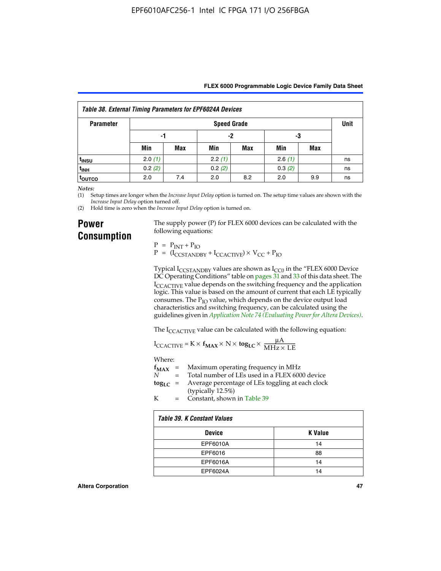| FLEX 6000 Programmable Logic Device Family Data Sheet |  |
|-------------------------------------------------------|--|
|-------------------------------------------------------|--|

| Table 38. External Timing Parameters for EPF6024A Devices |                    |            |        |     |        |     |    |
|-----------------------------------------------------------|--------------------|------------|--------|-----|--------|-----|----|
| <b>Parameter</b>                                          | <b>Speed Grade</b> |            |        |     |        |     |    |
|                                                           | -1                 |            | -2     |     | -3     |     |    |
|                                                           | Min                | <b>Max</b> | Min    | Max | Min    | Max |    |
| <sup>t</sup> insu                                         | 2.0(1)             |            | 2.2(1) |     | 2.6(1) |     | ns |
| t <sub>INH</sub>                                          | 0.2(2)             |            | 0.2(2) |     | 0.3(2) |     | ns |
| <sup>t</sup> outco                                        | 2.0                | 7.4        | 2.0    | 8.2 | 2.0    | 9.9 | ns |

*Notes:*

(1) Setup times are longer when the *Increase Input Delay* option is turned on. The setup time values are shown with the *Increase Input Delay* option turned off.

(2) Hold time is zero when the *Increase Input Delay* option is turned on.

### **Power Consumption**

The supply power (P) for FLEX 6000 devices can be calculated with the following equations:

 $P = P_{INT} + P_{IO}$  $P = (I_{CCTANDBY} + I_{CCACTIVE}) \times V_{CC} + P_{IO}$ 

Typical  $I_{CCSTANDBY}$  values are shown as  $I_{CC0}$  in the "FLEX 6000 Device DC Operating Conditions" table on pages 31 and 33 of this data sheet. The I<sub>CCACTIVE</sub> value depends on the switching frequency and the application logic. This value is based on the amount of current that each LE typically consumes. The  $P_{IO}$  value, which depends on the device output load characteristics and switching frequency, can be calculated using the guidelines given in *[Application Note 74 \(Evaluating Power for Altera Devices\)](http://www.altera.com/literature/an/an074.pdf)*.

The I<sub>CCACTIVE</sub> value can be calculated with the following equation:

$$
I_{\text{CCACTIVE}} = K \times f_{\text{MAX}} \times N \times \text{tog}_{\text{LC}} \times \frac{\mu A}{\text{MHz} \times \text{LE}}
$$

Where:

|   | $f_{MAX}$ = Maximum operating frequency in MHz                           |
|---|--------------------------------------------------------------------------|
| N | = Total number of LEs used in a FLEX 6000 device                         |
|   | $\log_{LC}$ = Average percentage of LEs toggling at each clock<br>(1, 1) |

(typically 12.5%) K = Constant, shown in Table 39

| Table 39. K Constant Values |                |  |  |
|-----------------------------|----------------|--|--|
| <b>Device</b>               | <b>K</b> Value |  |  |
| EPF6010A                    | 14             |  |  |
| EPF6016                     | 88             |  |  |
| EPF6016A                    | 14             |  |  |
| EPF6024A                    | 14             |  |  |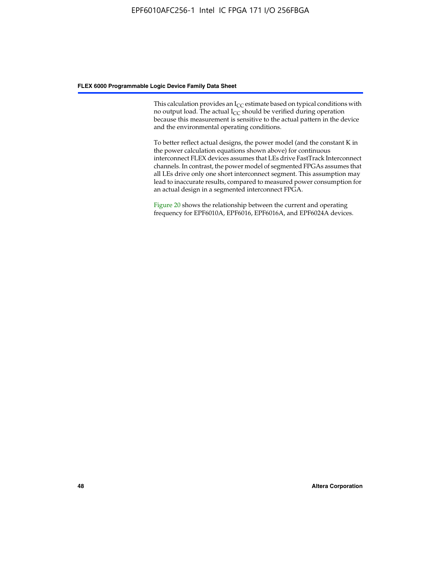This calculation provides an  $I_{CC}$  estimate based on typical conditions with no output load. The actual  $I_{CC}$  should be verified during operation because this measurement is sensitive to the actual pattern in the device and the environmental operating conditions.

To better reflect actual designs, the power model (and the constant K in the power calculation equations shown above) for continuous interconnect FLEX devices assumes that LEs drive FastTrack Interconnect channels. In contrast, the power model of segmented FPGAs assumes that all LEs drive only one short interconnect segment. This assumption may lead to inaccurate results, compared to measured power consumption for an actual design in a segmented interconnect FPGA.

Figure 20 shows the relationship between the current and operating frequency for EPF6010A, EPF6016, EPF6016A, and EPF6024A devices.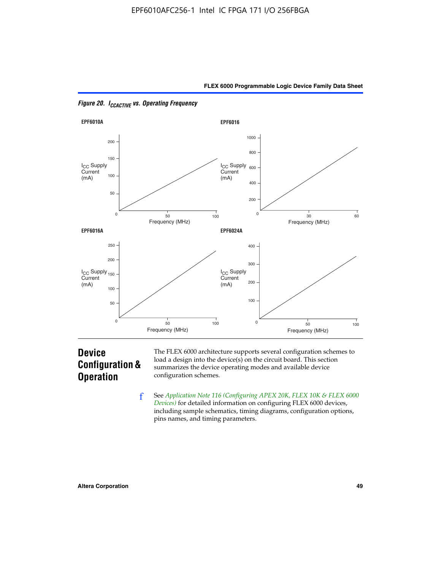



*Figure 20. ICCACTIVE vs. Operating Frequency* 

## **Device Configuration & Operation**

The FLEX 6000 architecture supports several configuration schemes to load a design into the device(s) on the circuit board. This section summarizes the device operating modes and available device configuration schemes.

f See *[Application Note 116 \(Configuring APEX 20K, FLEX 10K & FLEX 6000](http://www.altera.com/literature/an/an116.pdf)  [Devices\)](http://www.altera.com/literature/an/an116.pdf)* for detailed information on configuring FLEX 6000 devices, including sample schematics, timing diagrams, configuration options, pins names, and timing parameters.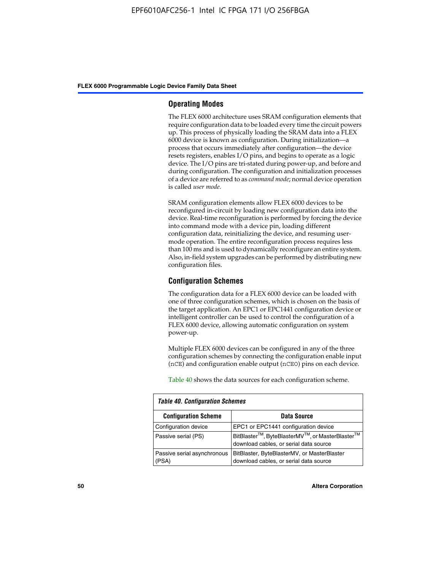#### **Operating Modes**

The FLEX 6000 architecture uses SRAM configuration elements that require configuration data to be loaded every time the circuit powers up. This process of physically loading the SRAM data into a FLEX 6000 device is known as configuration. During initialization—a process that occurs immediately after configuration—the device resets registers, enables I/O pins, and begins to operate as a logic device. The I/O pins are tri-stated during power-up, and before and during configuration. The configuration and initialization processes of a device are referred to as *command mode*; normal device operation is called *user mode*.

SRAM configuration elements allow FLEX 6000 devices to be reconfigured in-circuit by loading new configuration data into the device. Real-time reconfiguration is performed by forcing the device into command mode with a device pin, loading different configuration data, reinitializing the device, and resuming usermode operation. The entire reconfiguration process requires less than 100 ms and is used to dynamically reconfigure an entire system. Also, in-field system upgrades can be performed by distributing new configuration files.

#### **Configuration Schemes**

The configuration data for a FLEX 6000 device can be loaded with one of three configuration schemes, which is chosen on the basis of the target application. An EPC1 or EPC1441 configuration device or intelligent controller can be used to control the configuration of a FLEX 6000 device, allowing automatic configuration on system power-up.

Multiple FLEX 6000 devices can be configured in any of the three configuration schemes by connecting the configuration enable input (nCE) and configuration enable output (nCEO) pins on each device.

Table 40 shows the data sources for each configuration scheme.

| <b>Table 40. Configuration Schemes</b> |                                                                                                                                |  |  |
|----------------------------------------|--------------------------------------------------------------------------------------------------------------------------------|--|--|
| <b>Configuration Scheme</b>            | Data Source                                                                                                                    |  |  |
| Configuration device                   | EPC1 or EPC1441 configuration device                                                                                           |  |  |
| Passive serial (PS)                    | BitBlaster <sup>™</sup> , ByteBlasterMV <sup>™</sup> , or MasterBlaster <sup>™</sup><br>download cables, or serial data source |  |  |
| Passive serial asynchronous<br>(PSA)   | BitBlaster, ByteBlasterMV, or MasterBlaster<br>download cables, or serial data source                                          |  |  |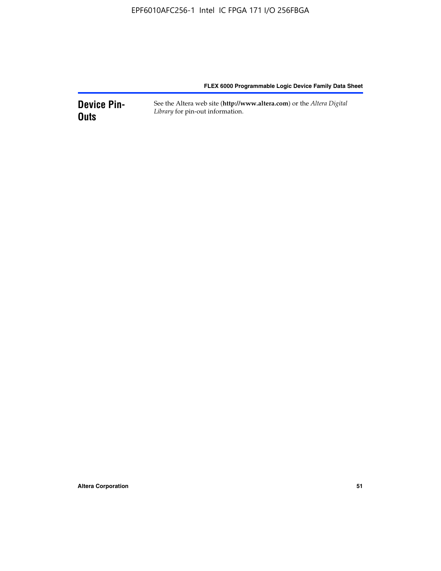**Device Pin-Outs** See the Altera web site (**http://www.altera.com**) or the *Altera Digital Library* for pin-out information.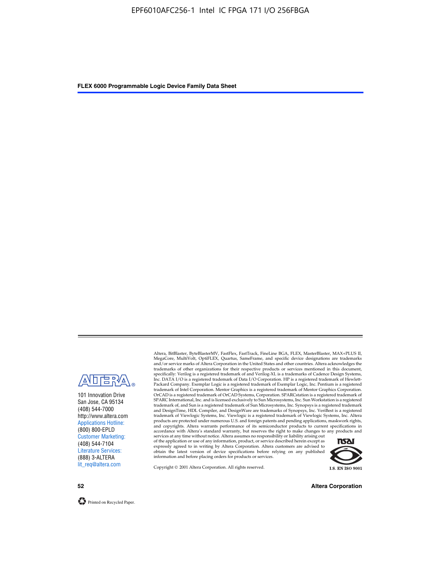

101 Innovation Drive San Jose, CA 95134 (408) 544-7000 http://www.altera.com Applications Hotline: (800) 800-EPLD Customer Marketing: (408) 544-7104 Literature Services: (888) 3-ALTERA lit\_req@altera.com

Altera, BitBlaster, ByteBlasterMV, FastFlex, FastTrack, FineLine BGA, FLEX, MasterBlaster, MAX+PLUS II, MegaCore, MultiVolt, OptiFLEX, Quartus, SameFrame, and specific device designations are trademarks and/or service marks of Altera Corporation in the United States and other countries. Altera acknowledges the trademarks of other organizations for their respective products or services mentioned in this document, specifically: Verilog is a registered trademark of and Verilog-XL is a trademarks of Cadence Design Systems,<br>Inc. DATA I/O is a registered trademark of Data I/O Corporation. HP is a registered trademark of Hewlett-<br>Packard trademark of Intel Corporation. Mentor Graphics is a registered trademark of Mentor Graphics Corporation. OrCAD is a registered trademark of OrCAD Systems, Corporation. SPARCstation is a registered trademark of SPARC International, Inc. and is licensed exclusively to Sun Microsystems, Inc. Sun Workstation is a registered trademark of, and Sun is a registered trademark of Sun Microsystems, Inc. Synopsys is a registered trademark and DesignTime, HDL Compiler, and DesignWare are trademarks of Synopsys, Inc. VeriBest is a registered<br>trademark of Viewlogic Systems, Inc. Viewlogic is a registered trademark of Viewlogic Systems, Inc. Altera<br>products are

of the application or use of any information, product, or service described herein except as<br>expressly agreed to in writing by Altera Corporation. Altera customers are advised to<br>obtain the latest version of device specifi



Copyright © 2001 Altera Corporation. All rights reserved.

**52 Altera Corporation**

Printed on Recycled Paper.